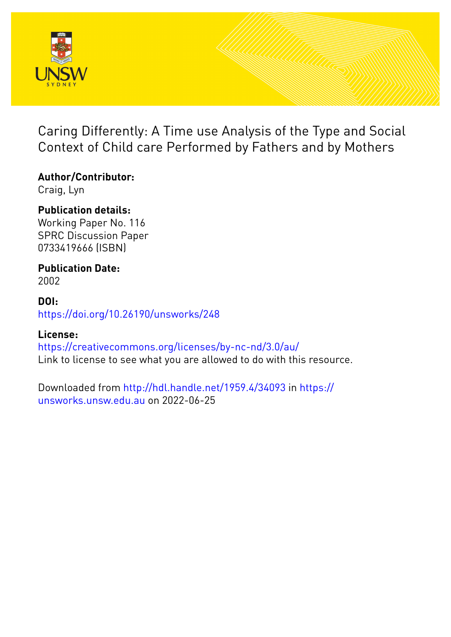

Caring Differently: A Time use Analysis of the Type and Social Context of Child care Performed by Fathers and by Mothers

**Author/Contributor:**

Craig, Lyn

**Publication details:** Working Paper No. 116 SPRC Discussion Paper 0733419666 (ISBN)

**Publication Date:**

2002

**DOI:** [https://doi.org/10.26190/unsworks/248](http://dx.doi.org/https://doi.org/10.26190/unsworks/248)

## **License:**

<https://creativecommons.org/licenses/by-nc-nd/3.0/au/> Link to license to see what you are allowed to do with this resource.

Downloaded from <http://hdl.handle.net/1959.4/34093> in [https://](https://unsworks.unsw.edu.au) [unsworks.unsw.edu.au](https://unsworks.unsw.edu.au) on 2022-06-25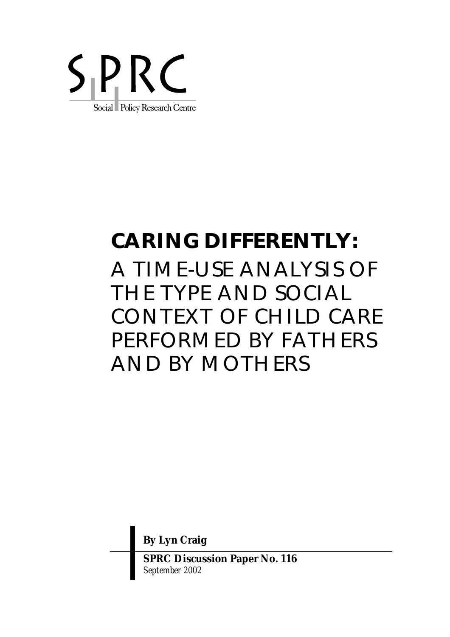

# **CARING DIFFERENTLY:**

A TIME-USE ANALYSIS OF THE TYPE AND SOCIAL CONTEXT OF CHILD CARE PERFORMED BY FATHERS AND BY MOTHERS

**By Lyn Craig** 

**SPRC Discussion Paper No. 116**  *September 2002*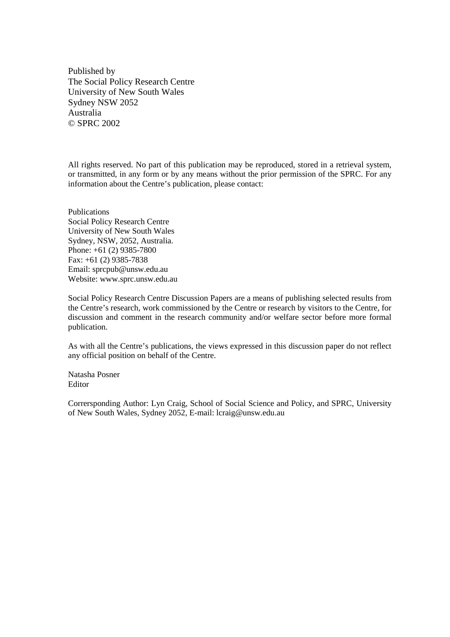Published by The Social Policy Research Centre University of New South Wales Sydney NSW 2052 Australia © SPRC 2002

All rights reserved. No part of this publication may be reproduced, stored in a retrieval system, or transmitted, in any form or by any means without the prior permission of the SPRC. For any information about the Centre's publication, please contact:

Publications Social Policy Research Centre University of New South Wales Sydney, NSW, 2052, Australia. Phone: +61 (2) 9385-7800 Fax: +61 (2) 9385-7838 Email: sprcpub@unsw.edu.au Website: www.sprc.unsw.edu.au

Social Policy Research Centre Discussion Papers are a means of publishing selected results from the Centre's research, work commissioned by the Centre or research by visitors to the Centre, for discussion and comment in the research community and/or welfare sector before more formal publication.

As with all the Centre's publications, the views expressed in this discussion paper do not reflect any official position on behalf of the Centre.

Natasha Posner Editor

Corrersponding Author: Lyn Craig, School of Social Science and Policy, and SPRC, University of New South Wales, Sydney 2052, E-mail: lcraig@unsw.edu.au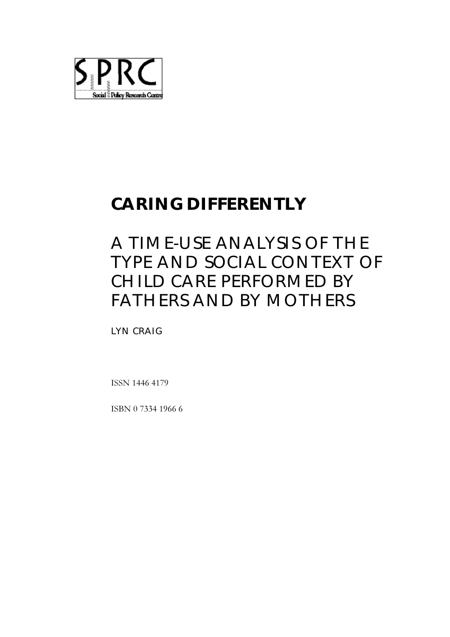

# **CARING DIFFERENTLY**

# A TIME-USE ANALYSIS OF THE TYPE AND SOCIAL CONTEXT OF CHILD CARE PERFORMED BY FATHERS AND BY MOTHERS

LYN CRAIG

ISSN 1446 4179

ISBN 0 7334 1966 6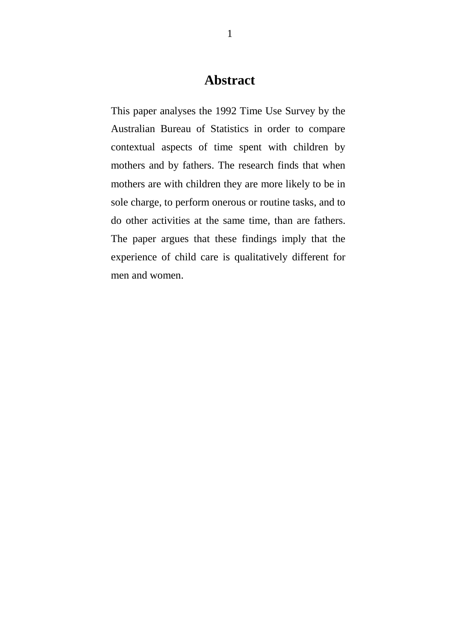# **Abstract**

This paper analyses the 1992 Time Use Survey by the Australian Bureau of Statistics in order to compare contextual aspects of time spent with children by mothers and by fathers. The research finds that when mothers are with children they are more likely to be in sole charge, to perform onerous or routine tasks, and to do other activities at the same time, than are fathers. The paper argues that these findings imply that the experience of child care is qualitatively different for men and women.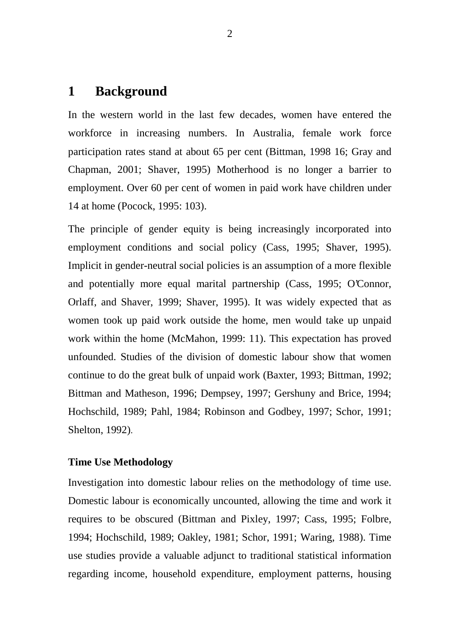## **1 Background**

In the western world in the last few decades, women have entered the workforce in increasing numbers. In Australia, female work force participation rates stand at about 65 per cent (Bittman, 1998 16; Gray and Chapman, 2001; Shaver, 1995) Motherhood is no longer a barrier to employment. Over 60 per cent of women in paid work have children under 14 at home (Pocock, 1995: 103).

The principle of gender equity is being increasingly incorporated into employment conditions and social policy (Cass, 1995; Shaver, 1995). Implicit in gender-neutral social policies is an assumption of a more flexible and potentially more equal marital partnership (Cass, 1995; O'Connor, Orlaff, and Shaver, 1999; Shaver, 1995). It was widely expected that as women took up paid work outside the home, men would take up unpaid work within the home (McMahon, 1999: 11). This expectation has proved unfounded. Studies of the division of domestic labour show that women continue to do the great bulk of unpaid work (Baxter, 1993; Bittman, 1992; Bittman and Matheson, 1996; Dempsey, 1997; Gershuny and Brice, 1994; Hochschild, 1989; Pahl, 1984; Robinson and Godbey, 1997; Schor, 1991; Shelton, 1992).

#### **Time Use Methodology**

Investigation into domestic labour relies on the methodology of time use. Domestic labour is economically uncounted, allowing the time and work it requires to be obscured (Bittman and Pixley, 1997; Cass, 1995; Folbre, 1994; Hochschild, 1989; Oakley, 1981; Schor, 1991; Waring, 1988). Time use studies provide a valuable adjunct to traditional statistical information regarding income, household expenditure, employment patterns, housing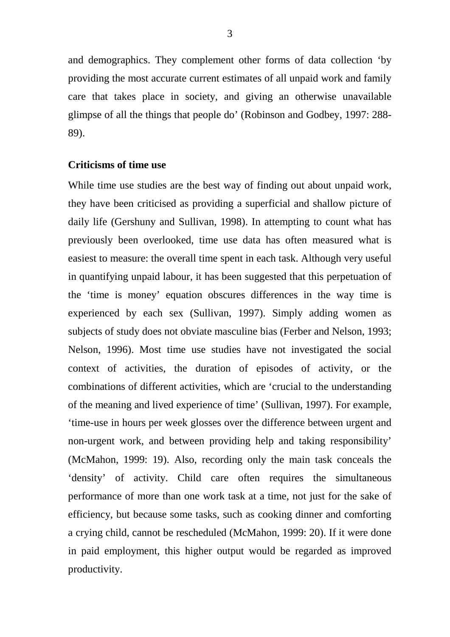and demographics. They complement other forms of data collection 'by providing the most accurate current estimates of all unpaid work and family care that takes place in society, and giving an otherwise unavailable glimpse of all the things that people do' (Robinson and Godbey, 1997: 288- 89).

#### **Criticisms of time use**

While time use studies are the best way of finding out about unpaid work, they have been criticised as providing a superficial and shallow picture of daily life (Gershuny and Sullivan, 1998). In attempting to count what has previously been overlooked, time use data has often measured what is easiest to measure: the overall time spent in each task. Although very useful in quantifying unpaid labour, it has been suggested that this perpetuation of the 'time is money' equation obscures differences in the way time is experienced by each sex (Sullivan, 1997). Simply adding women as subjects of study does not obviate masculine bias (Ferber and Nelson, 1993; Nelson, 1996). Most time use studies have not investigated the social context of activities, the duration of episodes of activity, or the combinations of different activities, which are 'crucial to the understanding of the meaning and lived experience of time' (Sullivan, 1997). For example, 'time-use in hours per week glosses over the difference between urgent and non-urgent work, and between providing help and taking responsibility' (McMahon, 1999: 19). Also, recording only the main task conceals the 'density' of activity. Child care often requires the simultaneous performance of more than one work task at a time, not just for the sake of efficiency, but because some tasks, such as cooking dinner and comforting a crying child, cannot be rescheduled (McMahon, 1999: 20). If it were done in paid employment, this higher output would be regarded as improved productivity.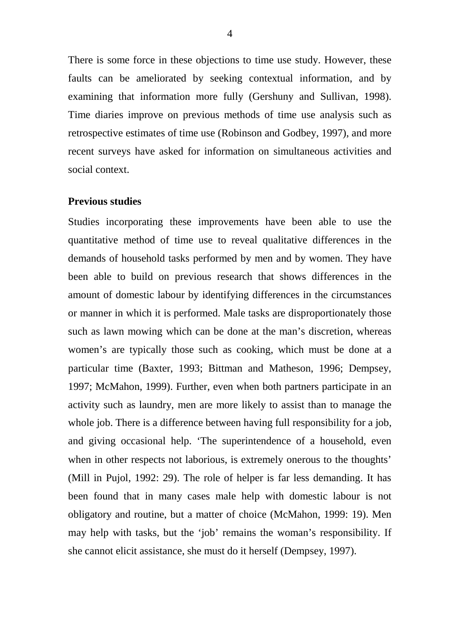There is some force in these objections to time use study. However, these faults can be ameliorated by seeking contextual information, and by examining that information more fully (Gershuny and Sullivan, 1998). Time diaries improve on previous methods of time use analysis such as retrospective estimates of time use (Robinson and Godbey, 1997), and more recent surveys have asked for information on simultaneous activities and social context.

#### **Previous studies**

Studies incorporating these improvements have been able to use the quantitative method of time use to reveal qualitative differences in the demands of household tasks performed by men and by women. They have been able to build on previous research that shows differences in the amount of domestic labour by identifying differences in the circumstances or manner in which it is performed. Male tasks are disproportionately those such as lawn mowing which can be done at the man's discretion, whereas women's are typically those such as cooking, which must be done at a particular time (Baxter, 1993; Bittman and Matheson, 1996; Dempsey, 1997; McMahon, 1999). Further, even when both partners participate in an activity such as laundry, men are more likely to assist than to manage the whole job. There is a difference between having full responsibility for a job, and giving occasional help. 'The superintendence of a household, even when in other respects not laborious, is extremely onerous to the thoughts' (Mill in Pujol, 1992: 29). The role of helper is far less demanding. It has been found that in many cases male help with domestic labour is not obligatory and routine, but a matter of choice (McMahon, 1999: 19). Men may help with tasks, but the 'job' remains the woman's responsibility. If she cannot elicit assistance, she must do it herself (Dempsey, 1997).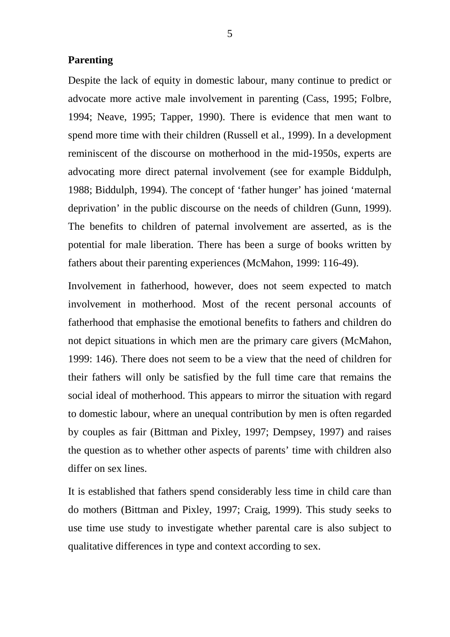#### **Parenting**

Despite the lack of equity in domestic labour, many continue to predict or advocate more active male involvement in parenting (Cass, 1995; Folbre, 1994; Neave, 1995; Tapper, 1990). There is evidence that men want to spend more time with their children (Russell et al., 1999). In a development reminiscent of the discourse on motherhood in the mid-1950s, experts are advocating more direct paternal involvement (see for example Biddulph, 1988; Biddulph, 1994). The concept of 'father hunger' has joined 'maternal deprivation' in the public discourse on the needs of children (Gunn, 1999). The benefits to children of paternal involvement are asserted, as is the potential for male liberation. There has been a surge of books written by fathers about their parenting experiences (McMahon, 1999: 116-49).

Involvement in fatherhood, however, does not seem expected to match involvement in motherhood. Most of the recent personal accounts of fatherhood that emphasise the emotional benefits to fathers and children do not depict situations in which men are the primary care givers (McMahon, 1999: 146). There does not seem to be a view that the need of children for their fathers will only be satisfied by the full time care that remains the social ideal of motherhood. This appears to mirror the situation with regard to domestic labour, where an unequal contribution by men is often regarded by couples as fair (Bittman and Pixley, 1997; Dempsey, 1997) and raises the question as to whether other aspects of parents' time with children also differ on sex lines.

It is established that fathers spend considerably less time in child care than do mothers (Bittman and Pixley, 1997; Craig, 1999). This study seeks to use time use study to investigate whether parental care is also subject to qualitative differences in type and context according to sex.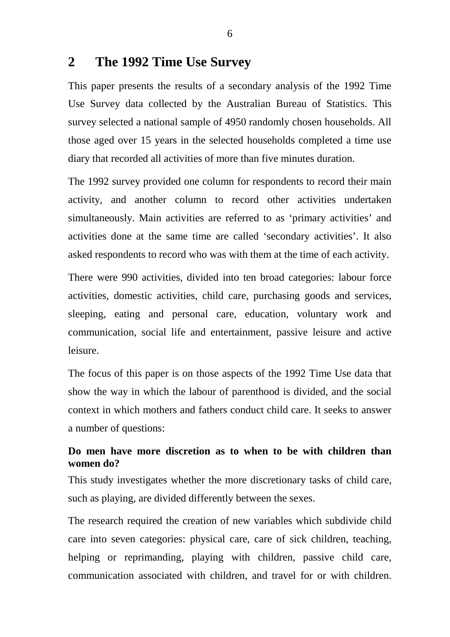## **2 The 1992 Time Use Survey**

This paper presents the results of a secondary analysis of the 1992 Time Use Survey data collected by the Australian Bureau of Statistics. This survey selected a national sample of 4950 randomly chosen households. All those aged over 15 years in the selected households completed a time use diary that recorded all activities of more than five minutes duration.

The 1992 survey provided one column for respondents to record their main activity, and another column to record other activities undertaken simultaneously. Main activities are referred to as 'primary activities' and activities done at the same time are called 'secondary activities'. It also asked respondents to record who was with them at the time of each activity.

There were 990 activities, divided into ten broad categories: labour force activities, domestic activities, child care, purchasing goods and services, sleeping, eating and personal care, education, voluntary work and communication, social life and entertainment, passive leisure and active leisure.

The focus of this paper is on those aspects of the 1992 Time Use data that show the way in which the labour of parenthood is divided, and the social context in which mothers and fathers conduct child care. It seeks to answer a number of questions:

### **Do men have more discretion as to when to be with children than women do?**

This study investigates whether the more discretionary tasks of child care, such as playing, are divided differently between the sexes.

The research required the creation of new variables which subdivide child care into seven categories: physical care, care of sick children, teaching, helping or reprimanding, playing with children, passive child care, communication associated with children, and travel for or with children.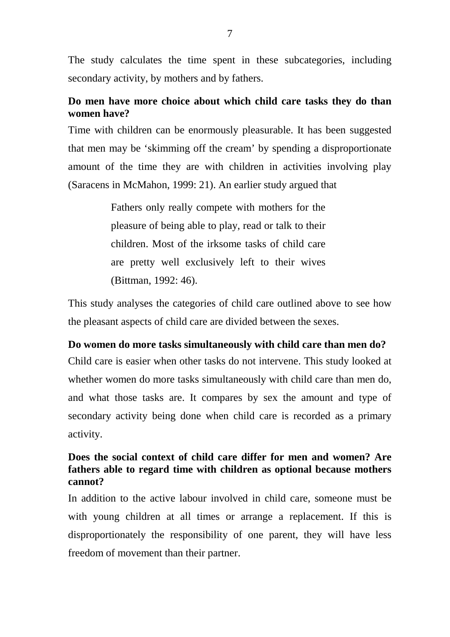The study calculates the time spent in these subcategories, including secondary activity, by mothers and by fathers.

## **Do men have more choice about which child care tasks they do than women have?**

Time with children can be enormously pleasurable. It has been suggested that men may be 'skimming off the cream' by spending a disproportionate amount of the time they are with children in activities involving play (Saracens in McMahon, 1999: 21). An earlier study argued that

> Fathers only really compete with mothers for the pleasure of being able to play, read or talk to their children. Most of the irksome tasks of child care are pretty well exclusively left to their wives (Bittman, 1992: 46).

This study analyses the categories of child care outlined above to see how the pleasant aspects of child care are divided between the sexes.

#### **Do women do more tasks simultaneously with child care than men do?**

Child care is easier when other tasks do not intervene. This study looked at whether women do more tasks simultaneously with child care than men do, and what those tasks are. It compares by sex the amount and type of secondary activity being done when child care is recorded as a primary activity.

#### **Does the social context of child care differ for men and women? Are fathers able to regard time with children as optional because mothers cannot?**

In addition to the active labour involved in child care, someone must be with young children at all times or arrange a replacement. If this is disproportionately the responsibility of one parent, they will have less freedom of movement than their partner.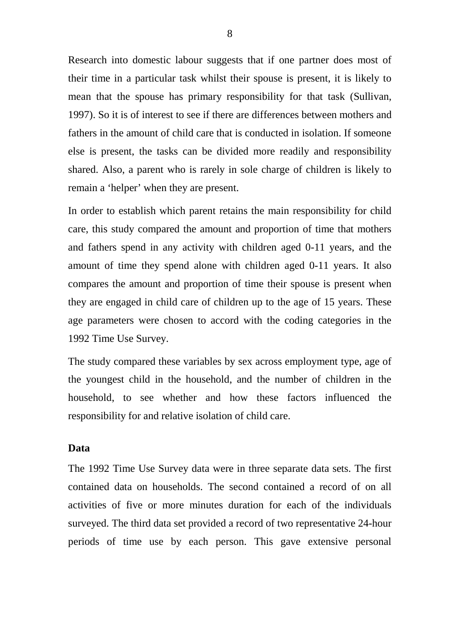Research into domestic labour suggests that if one partner does most of their time in a particular task whilst their spouse is present, it is likely to mean that the spouse has primary responsibility for that task (Sullivan, 1997). So it is of interest to see if there are differences between mothers and fathers in the amount of child care that is conducted in isolation. If someone else is present, the tasks can be divided more readily and responsibility shared. Also, a parent who is rarely in sole charge of children is likely to remain a 'helper' when they are present.

In order to establish which parent retains the main responsibility for child care, this study compared the amount and proportion of time that mothers and fathers spend in any activity with children aged 0-11 years, and the amount of time they spend alone with children aged 0-11 years. It also compares the amount and proportion of time their spouse is present when they are engaged in child care of children up to the age of 15 years. These age parameters were chosen to accord with the coding categories in the 1992 Time Use Survey.

The study compared these variables by sex across employment type, age of the youngest child in the household, and the number of children in the household, to see whether and how these factors influenced the responsibility for and relative isolation of child care.

#### **Data**

The 1992 Time Use Survey data were in three separate data sets. The first contained data on households. The second contained a record of on all activities of five or more minutes duration for each of the individuals surveyed. The third data set provided a record of two representative 24-hour periods of time use by each person. This gave extensive personal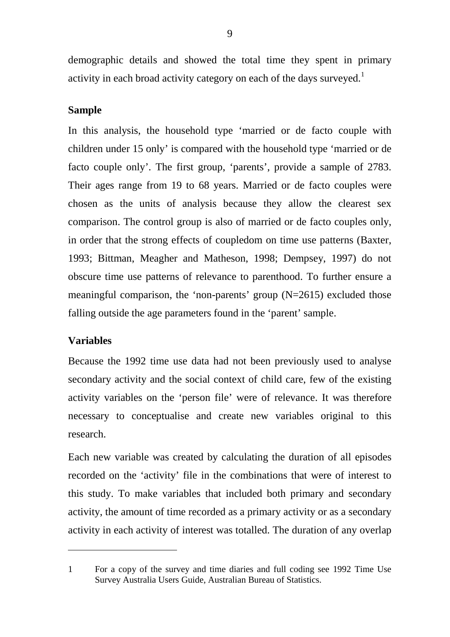demographic details and showed the total time they spent in primary activity in each broad activity category on each of the days surveyed.<sup>1</sup>

#### **Sample**

In this analysis, the household type 'married or de facto couple with children under 15 only' is compared with the household type 'married or de facto couple only'. The first group, 'parents', provide a sample of 2783. Their ages range from 19 to 68 years. Married or de facto couples were chosen as the units of analysis because they allow the clearest sex comparison. The control group is also of married or de facto couples only, in order that the strong effects of coupledom on time use patterns (Baxter, 1993; Bittman, Meagher and Matheson, 1998; Dempsey, 1997) do not obscure time use patterns of relevance to parenthood. To further ensure a meaningful comparison, the 'non-parents' group (N=2615) excluded those falling outside the age parameters found in the 'parent' sample.

#### **Variables**

 $\overline{a}$ 

Because the 1992 time use data had not been previously used to analyse secondary activity and the social context of child care, few of the existing activity variables on the 'person file' were of relevance. It was therefore necessary to conceptualise and create new variables original to this research.

Each new variable was created by calculating the duration of all episodes recorded on the 'activity' file in the combinations that were of interest to this study. To make variables that included both primary and secondary activity, the amount of time recorded as a primary activity or as a secondary activity in each activity of interest was totalled. The duration of any overlap

<sup>1</sup> For a copy of the survey and time diaries and full coding see 1992 Time Use Survey Australia Users Guide, Australian Bureau of Statistics.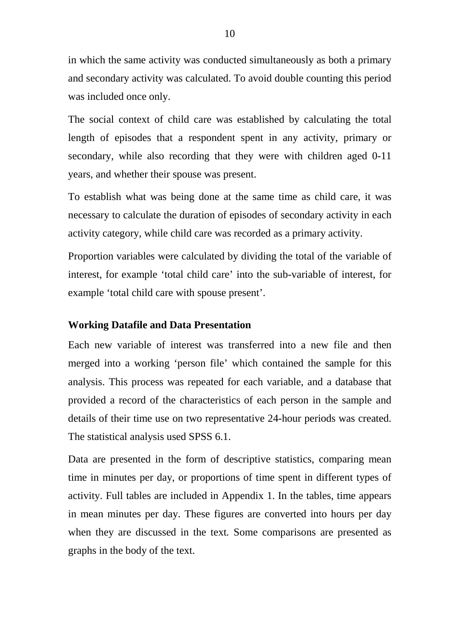in which the same activity was conducted simultaneously as both a primary and secondary activity was calculated. To avoid double counting this period was included once only.

The social context of child care was established by calculating the total length of episodes that a respondent spent in any activity, primary or secondary, while also recording that they were with children aged 0-11 years, and whether their spouse was present.

To establish what was being done at the same time as child care, it was necessary to calculate the duration of episodes of secondary activity in each activity category, while child care was recorded as a primary activity.

Proportion variables were calculated by dividing the total of the variable of interest, for example 'total child care' into the sub-variable of interest, for example 'total child care with spouse present'.

#### **Working Datafile and Data Presentation**

Each new variable of interest was transferred into a new file and then merged into a working 'person file' which contained the sample for this analysis. This process was repeated for each variable, and a database that provided a record of the characteristics of each person in the sample and details of their time use on two representative 24-hour periods was created. The statistical analysis used SPSS 6.1.

Data are presented in the form of descriptive statistics, comparing mean time in minutes per day, or proportions of time spent in different types of activity. Full tables are included in Appendix 1. In the tables, time appears in mean minutes per day. These figures are converted into hours per day when they are discussed in the text*.* Some comparisons are presented as graphs in the body of the text.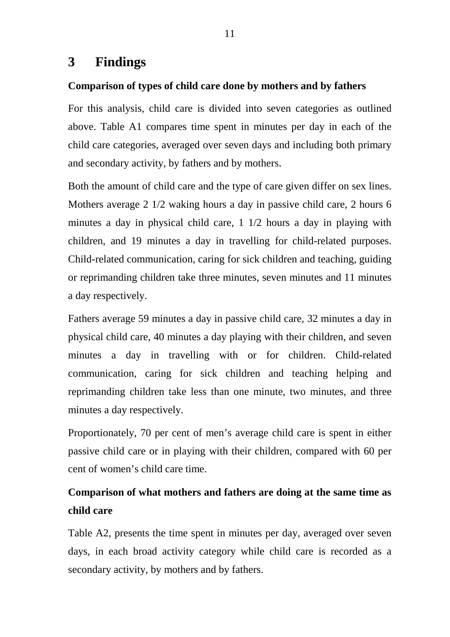# **3 Findings**

### **Comparison of types of child care done by mothers and by fathers**

For this analysis, child care is divided into seven categories as outlined above. Table A1 compares time spent in minutes per day in each of the child care categories, averaged over seven days and including both primary and secondary activity, by fathers and by mothers.

Both the amount of child care and the type of care given differ on sex lines. Mothers average 2 1/2 waking hours a day in passive child care, 2 hours 6 minutes a day in physical child care, 1 1/2 hours a day in playing with children, and 19 minutes a day in travelling for child-related purposes. Child-related communication, caring for sick children and teaching, guiding or reprimanding children take three minutes, seven minutes and 11 minutes a day respectively.

Fathers average 59 minutes a day in passive child care, 32 minutes a day in physical child care, 40 minutes a day playing with their children, and seven minutes a day in travelling with or for children. Child-related communication, caring for sick children and teaching helping and reprimanding children take less than one minute, two minutes, and three minutes a day respectively.

Proportionately, 70 per cent of men's average child care is spent in either passive child care or in playing with their children, compared with 60 per cent of women's child care time.

# **Comparison of what mothers and fathers are doing at the same time as child care**

Table A2, presents the time spent in minutes per day, averaged over seven days, in each broad activity category while child care is recorded as a secondary activity, by mothers and by fathers.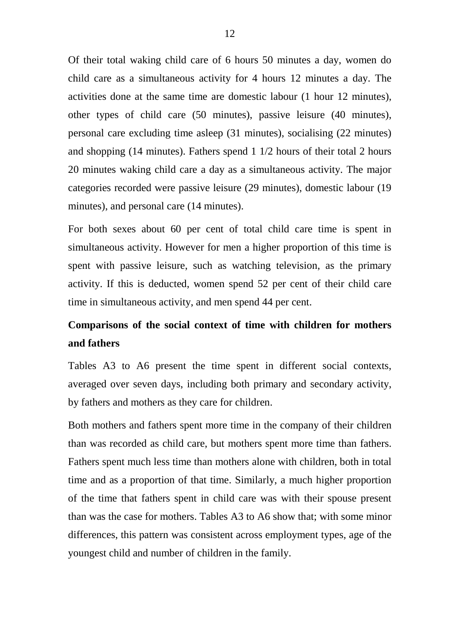Of their total waking child care of 6 hours 50 minutes a day, women do child care as a simultaneous activity for 4 hours 12 minutes a day. The activities done at the same time are domestic labour (1 hour 12 minutes), other types of child care (50 minutes), passive leisure (40 minutes), personal care excluding time asleep (31 minutes), socialising (22 minutes) and shopping (14 minutes). Fathers spend 1 1/2 hours of their total 2 hours 20 minutes waking child care a day as a simultaneous activity. The major categories recorded were passive leisure (29 minutes), domestic labour (19 minutes), and personal care (14 minutes).

For both sexes about 60 per cent of total child care time is spent in simultaneous activity. However for men a higher proportion of this time is spent with passive leisure, such as watching television, as the primary activity. If this is deducted, women spend 52 per cent of their child care time in simultaneous activity, and men spend 44 per cent.

# **Comparisons of the social context of time with children for mothers and fathers**

Tables A3 to A6 present the time spent in different social contexts, averaged over seven days, including both primary and secondary activity, by fathers and mothers as they care for children.

Both mothers and fathers spent more time in the company of their children than was recorded as child care, but mothers spent more time than fathers. Fathers spent much less time than mothers alone with children, both in total time and as a proportion of that time. Similarly, a much higher proportion of the time that fathers spent in child care was with their spouse present than was the case for mothers. Tables A3 to A6 show that; with some minor differences, this pattern was consistent across employment types, age of the youngest child and number of children in the family.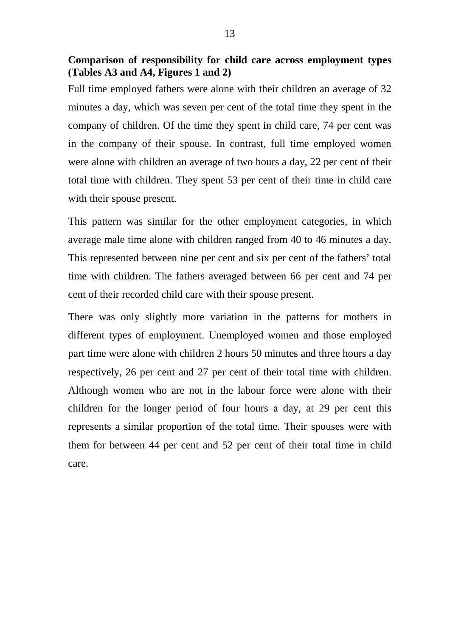**Comparison of responsibility for child care across employment types (Tables A3 and A4, Figures 1 and 2)** 

Full time employed fathers were alone with their children an average of 32 minutes a day, which was seven per cent of the total time they spent in the company of children. Of the time they spent in child care, 74 per cent was in the company of their spouse. In contrast, full time employed women were alone with children an average of two hours a day, 22 per cent of their total time with children. They spent 53 per cent of their time in child care with their spouse present.

This pattern was similar for the other employment categories, in which average male time alone with children ranged from 40 to 46 minutes a day. This represented between nine per cent and six per cent of the fathers' total time with children. The fathers averaged between 66 per cent and 74 per cent of their recorded child care with their spouse present.

There was only slightly more variation in the patterns for mothers in different types of employment. Unemployed women and those employed part time were alone with children 2 hours 50 minutes and three hours a day respectively, 26 per cent and 27 per cent of their total time with children. Although women who are not in the labour force were alone with their children for the longer period of four hours a day, at 29 per cent this represents a similar proportion of the total time. Their spouses were with them for between 44 per cent and 52 per cent of their total time in child care.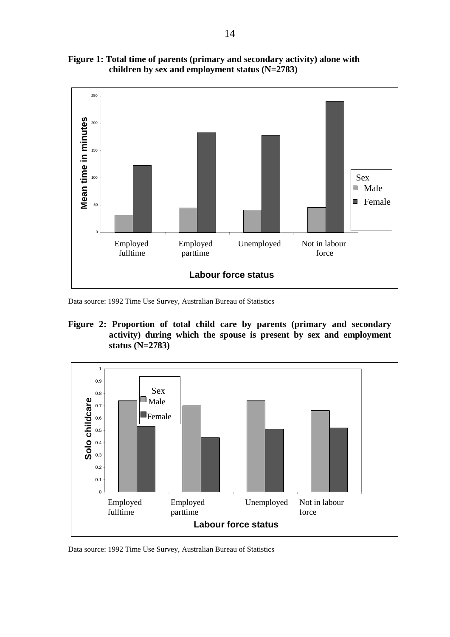

**Figure 1: Total time of parents (primary and secondary activity) alone with children by sex and employment status (N=2783)** 

Data source: 1992 Time Use Survey, Australian Bureau of Statistics

#### **Figure 2: Proportion of total child care by parents (primary and secondary activity) during which the spouse is present by sex and employment status (N=2783)**



Data source: 1992 Time Use Survey, Australian Bureau of Statistics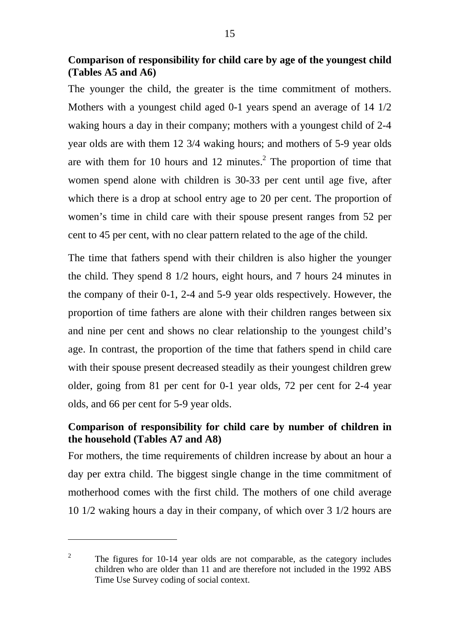**Comparison of responsibility for child care by age of the youngest child (Tables A5 and A6)** 

The younger the child, the greater is the time commitment of mothers. Mothers with a youngest child aged 0-1 years spend an average of 14 1/2 waking hours a day in their company; mothers with a youngest child of 2-4 year olds are with them 12 3/4 waking hours; and mothers of 5-9 year olds are with them for 10 hours and 12 minutes.<sup>2</sup> The proportion of time that women spend alone with children is 30-33 per cent until age five, after which there is a drop at school entry age to 20 per cent. The proportion of women's time in child care with their spouse present ranges from 52 per cent to 45 per cent, with no clear pattern related to the age of the child.

The time that fathers spend with their children is also higher the younger the child. They spend 8 1/2 hours, eight hours, and 7 hours 24 minutes in the company of their 0-1, 2-4 and 5-9 year olds respectively. However, the proportion of time fathers are alone with their children ranges between six and nine per cent and shows no clear relationship to the youngest child's age. In contrast, the proportion of the time that fathers spend in child care with their spouse present decreased steadily as their youngest children grew older, going from 81 per cent for 0-1 year olds, 72 per cent for 2-4 year olds, and 66 per cent for 5-9 year olds.

#### **Comparison of responsibility for child care by number of children in the household (Tables A7 and A8)**

For mothers, the time requirements of children increase by about an hour a day per extra child. The biggest single change in the time commitment of motherhood comes with the first child. The mothers of one child average 10 1/2 waking hours a day in their company, of which over 3 1/2 hours are

 $\overline{a}$ 

<sup>2</sup> The figures for 10-14 year olds are not comparable, as the category includes children who are older than 11 and are therefore not included in the 1992 ABS Time Use Survey coding of social context.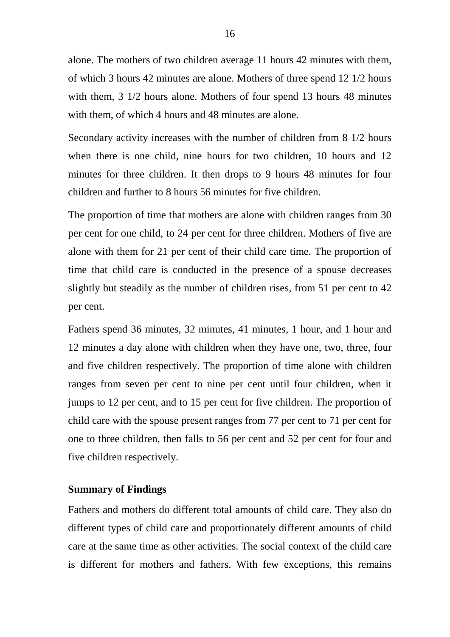alone. The mothers of two children average 11 hours 42 minutes with them, of which 3 hours 42 minutes are alone. Mothers of three spend 12 1/2 hours with them, 3 1/2 hours alone. Mothers of four spend 13 hours 48 minutes with them, of which 4 hours and 48 minutes are alone.

Secondary activity increases with the number of children from 8 1/2 hours when there is one child, nine hours for two children, 10 hours and 12 minutes for three children. It then drops to 9 hours 48 minutes for four children and further to 8 hours 56 minutes for five children.

The proportion of time that mothers are alone with children ranges from 30 per cent for one child, to 24 per cent for three children. Mothers of five are alone with them for 21 per cent of their child care time. The proportion of time that child care is conducted in the presence of a spouse decreases slightly but steadily as the number of children rises, from 51 per cent to 42 per cent.

Fathers spend 36 minutes, 32 minutes, 41 minutes, 1 hour, and 1 hour and 12 minutes a day alone with children when they have one, two, three, four and five children respectively. The proportion of time alone with children ranges from seven per cent to nine per cent until four children, when it jumps to 12 per cent, and to 15 per cent for five children. The proportion of child care with the spouse present ranges from 77 per cent to 71 per cent for one to three children, then falls to 56 per cent and 52 per cent for four and five children respectively.

#### **Summary of Findings**

Fathers and mothers do different total amounts of child care. They also do different types of child care and proportionately different amounts of child care at the same time as other activities. The social context of the child care is different for mothers and fathers. With few exceptions, this remains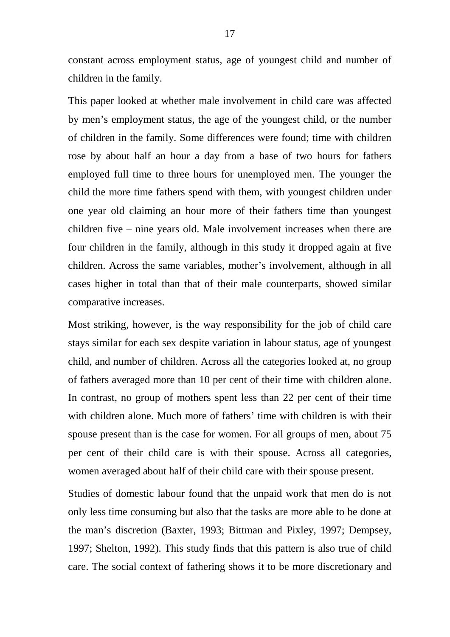constant across employment status, age of youngest child and number of children in the family.

This paper looked at whether male involvement in child care was affected by men's employment status, the age of the youngest child, or the number of children in the family. Some differences were found; time with children rose by about half an hour a day from a base of two hours for fathers employed full time to three hours for unemployed men. The younger the child the more time fathers spend with them, with youngest children under one year old claiming an hour more of their fathers time than youngest children five – nine years old. Male involvement increases when there are four children in the family, although in this study it dropped again at five children. Across the same variables, mother's involvement, although in all cases higher in total than that of their male counterparts, showed similar comparative increases.

Most striking, however, is the way responsibility for the job of child care stays similar for each sex despite variation in labour status, age of youngest child, and number of children. Across all the categories looked at, no group of fathers averaged more than 10 per cent of their time with children alone. In contrast, no group of mothers spent less than 22 per cent of their time with children alone. Much more of fathers' time with children is with their spouse present than is the case for women. For all groups of men, about 75 per cent of their child care is with their spouse. Across all categories, women averaged about half of their child care with their spouse present.

Studies of domestic labour found that the unpaid work that men do is not only less time consuming but also that the tasks are more able to be done at the man's discretion (Baxter, 1993; Bittman and Pixley, 1997; Dempsey, 1997; Shelton, 1992). This study finds that this pattern is also true of child care. The social context of fathering shows it to be more discretionary and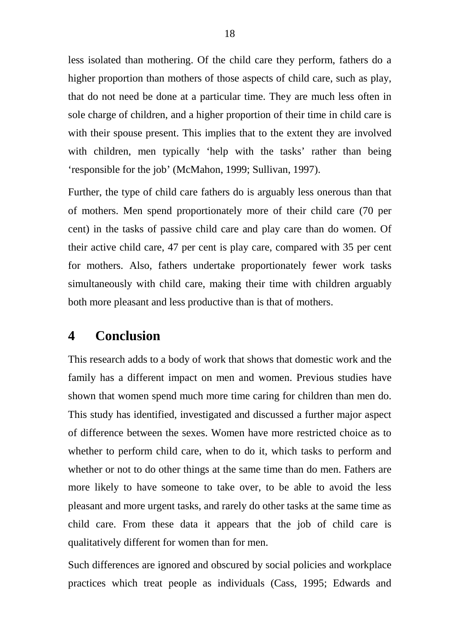less isolated than mothering. Of the child care they perform, fathers do a higher proportion than mothers of those aspects of child care, such as play, that do not need be done at a particular time. They are much less often in sole charge of children, and a higher proportion of their time in child care is with their spouse present. This implies that to the extent they are involved with children, men typically 'help with the tasks' rather than being 'responsible for the job' (McMahon, 1999; Sullivan, 1997).

Further, the type of child care fathers do is arguably less onerous than that of mothers. Men spend proportionately more of their child care (70 per cent) in the tasks of passive child care and play care than do women. Of their active child care, 47 per cent is play care, compared with 35 per cent for mothers. Also, fathers undertake proportionately fewer work tasks simultaneously with child care, making their time with children arguably both more pleasant and less productive than is that of mothers.

## **4 Conclusion**

This research adds to a body of work that shows that domestic work and the family has a different impact on men and women. Previous studies have shown that women spend much more time caring for children than men do. This study has identified, investigated and discussed a further major aspect of difference between the sexes. Women have more restricted choice as to whether to perform child care, when to do it, which tasks to perform and whether or not to do other things at the same time than do men. Fathers are more likely to have someone to take over, to be able to avoid the less pleasant and more urgent tasks, and rarely do other tasks at the same time as child care. From these data it appears that the job of child care is qualitatively different for women than for men.

Such differences are ignored and obscured by social policies and workplace practices which treat people as individuals (Cass, 1995; Edwards and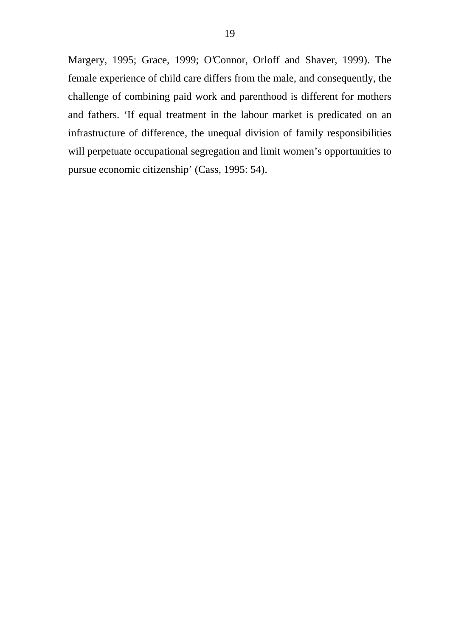Margery, 1995; Grace, 1999; O'Connor, Orloff and Shaver, 1999). The female experience of child care differs from the male, and consequently, the challenge of combining paid work and parenthood is different for mothers and fathers. 'If equal treatment in the labour market is predicated on an infrastructure of difference, the unequal division of family responsibilities will perpetuate occupational segregation and limit women's opportunities to pursue economic citizenship' (Cass, 1995: 54).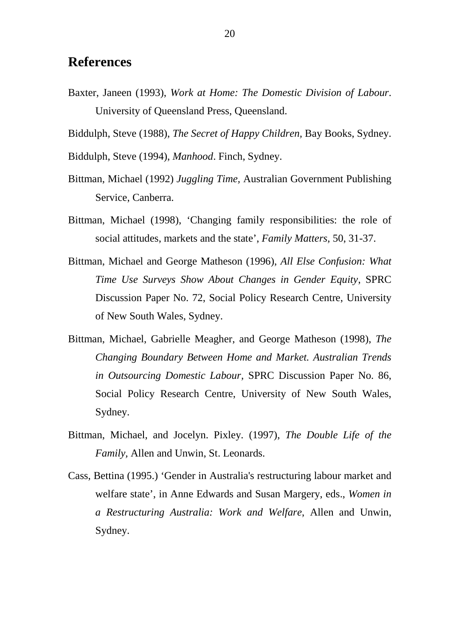## **References**

Baxter, Janeen (1993), *Work at Home: The Domestic Division of Labour*. University of Queensland Press, Queensland.

Biddulph, Steve (1988), *The Secret of Happy Children,* Bay Books, Sydney.

Biddulph, Steve (1994), *Manhood*. Finch, Sydney.

- Bittman, Michael (1992) *Juggling Time,* Australian Government Publishing Service, Canberra.
- Bittman, Michael (1998), 'Changing family responsibilities: the role of social attitudes, markets and the state', *Family Matters,* 50, 31-37.
- Bittman, Michael and George Matheson (1996), *All Else Confusion: What Time Use Surveys Show About Changes in Gender Equity*, SPRC Discussion Paper No. 72, Social Policy Research Centre, University of New South Wales, Sydney.
- Bittman, Michael, Gabrielle Meagher, and George Matheson (1998), *The Changing Boundary Between Home and Market. Australian Trends in Outsourcing Domestic Labour,* SPRC Discussion Paper No. 86, Social Policy Research Centre, University of New South Wales, Sydney.
- Bittman, Michael, and Jocelyn. Pixley. (1997), *The Double Life of the Family,* Allen and Unwin, St. Leonards.
- Cass, Bettina (1995.) 'Gender in Australia's restructuring labour market and welfare state', in Anne Edwards and Susan Margery, eds., *Women in a Restructuring Australia: Work and Welfare*, Allen and Unwin, Sydney.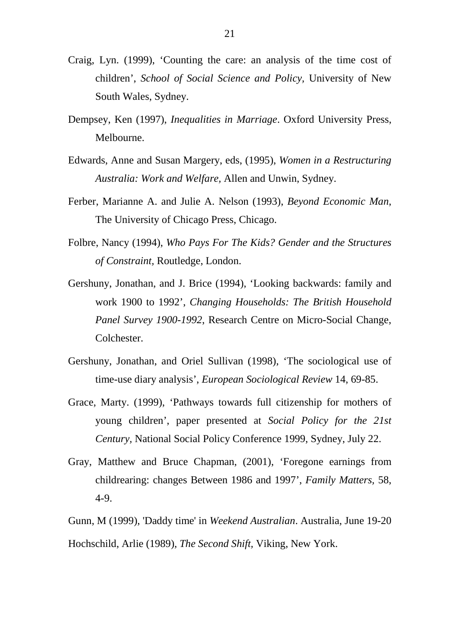- Craig, Lyn. (1999), 'Counting the care: an analysis of the time cost of children', *School of Social Science and Policy,* University of New South Wales, Sydney.
- Dempsey, Ken (1997), *Inequalities in Marriage*. Oxford University Press, Melbourne.
- Edwards, Anne and Susan Margery, eds, (1995), *Women in a Restructuring Australia: Work and Welfare,* Allen and Unwin, Sydney.
- Ferber, Marianne A. and Julie A. Nelson (1993), *Beyond Economic Man*, The University of Chicago Press, Chicago.
- Folbre, Nancy (1994), *Who Pays For The Kids? Gender and the Structures of Constraint,* Routledge, London.
- Gershuny, Jonathan, and J. Brice (1994), 'Looking backwards: family and work 1900 to 1992', *Changing Households: The British Household Panel Survey 1900-1992*, Research Centre on Micro-Social Change, Colchester.
- Gershuny, Jonathan, and Oriel Sullivan (1998), 'The sociological use of time-use diary analysis', *European Sociological Review* 14, 69-85.
- Grace, Marty. (1999), 'Pathways towards full citizenship for mothers of young children', paper presented at *Social Policy for the 21st Century,* National Social Policy Conference 1999, Sydney, July 22.
- Gray, Matthew and Bruce Chapman, (2001), 'Foregone earnings from childrearing: changes Between 1986 and 1997', *Family Matters,* 58, 4-9.
- Gunn, M (1999), 'Daddy time' in *Weekend Australian*. Australia, June 19-20

Hochschild, Arlie (1989), *The Second Shift,* Viking, New York.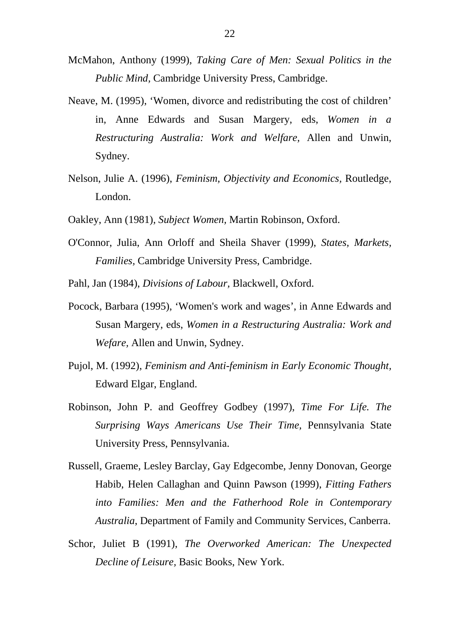- McMahon, Anthony (1999), *Taking Care of Men: Sexual Politics in the Public Mind,* Cambridge University Press, Cambridge.
- Neave, M. (1995), 'Women, divorce and redistributing the cost of children' in, Anne Edwards and Susan Margery, eds, *Women in a Restructuring Australia: Work and Welfare,* Allen and Unwin, Sydney.
- Nelson, Julie A. (1996), *Feminism, Objectivity and Economics,* Routledge, London.
- Oakley, Ann (1981), *Subject Women,* Martin Robinson, Oxford.
- O'Connor, Julia, Ann Orloff and Sheila Shaver (1999), *States, Markets, Families,* Cambridge University Press, Cambridge.

Pahl, Jan (1984), *Divisions of Labour,* Blackwell, Oxford.

- Pocock, Barbara (1995), 'Women's work and wages', in Anne Edwards and Susan Margery, eds, *Women in a Restructuring Australia: Work and Wefare,* Allen and Unwin, Sydney.
- Pujol, M. (1992), *Feminism and Anti-feminism in Early Economic Thought,* Edward Elgar, England.
- Robinson, John P. and Geoffrey Godbey (1997), *Time For Life. The Surprising Ways Americans Use Their Time,* Pennsylvania State University Press, Pennsylvania.
- Russell, Graeme, Lesley Barclay, Gay Edgecombe, Jenny Donovan, George Habib, Helen Callaghan and Quinn Pawson (1999), *Fitting Fathers into Families: Men and the Fatherhood Role in Contemporary Australia*, Department of Family and Community Services, Canberra.
- Schor, Juliet B (1991), *The Overworked American: The Unexpected Decline of Leisure,* Basic Books, New York.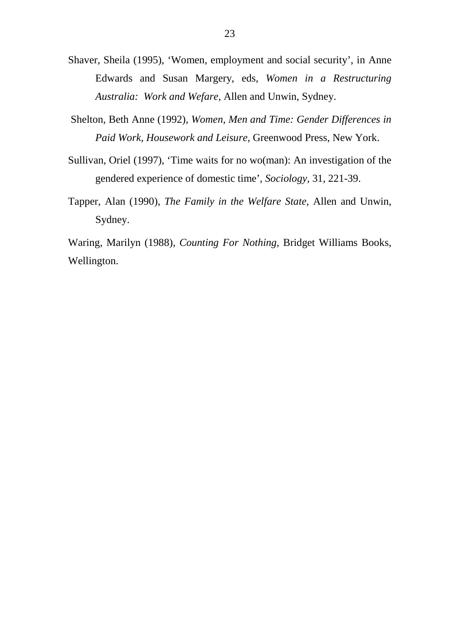- Shaver, Sheila (1995), 'Women, employment and social security', in Anne Edwards and Susan Margery, eds, *Women in a Restructuring Australia: Work and Wefare,* Allen and Unwin, Sydney.
- Shelton, Beth Anne (1992), *Women, Men and Time: Gender Differences in Paid Work, Housework and Leisure,* Greenwood Press, New York.
- Sullivan, Oriel (1997), 'Time waits for no wo(man): An investigation of the gendered experience of domestic time', *Sociology,* 31, 221-39.
- Tapper, Alan (1990), *The Family in the Welfare State,* Allen and Unwin, Sydney.

Waring, Marilyn (1988), *Counting For Nothing,* Bridget Williams Books, Wellington.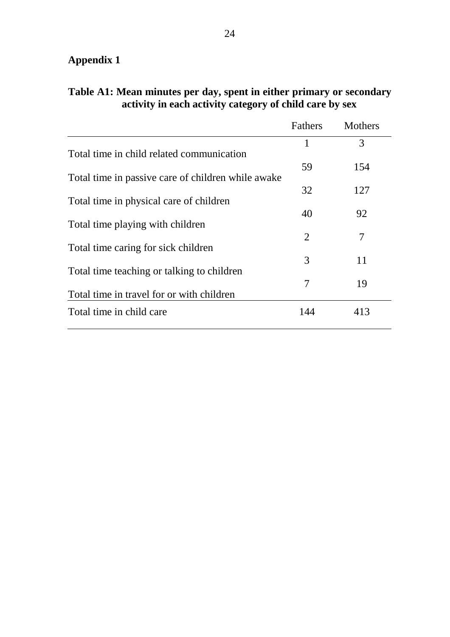# **Appendix 1**

|                                                    | Fathers | <b>Mothers</b> |
|----------------------------------------------------|---------|----------------|
|                                                    | 1       | 3              |
| Total time in child related communication          |         |                |
| Total time in passive care of children while awake | 59      | 154            |
|                                                    | 32      | 127            |
| Total time in physical care of children            |         |                |
| Total time playing with children                   | 40      | 92             |
|                                                    | 2       | 7              |
| Total time caring for sick children                | 3       | 11             |
| Total time teaching or talking to children         |         |                |
|                                                    | 7       | 19             |
| Total time in travel for or with children          |         |                |
| Total time in child care                           | 144     | 413            |

# **Table A1: Mean minutes per day, spent in either primary or secondary activity in each activity category of child care by sex**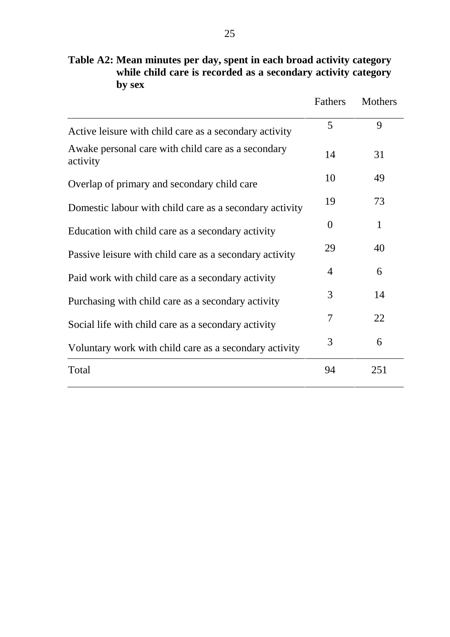|                                                                | Fathers  | <b>Mothers</b> |
|----------------------------------------------------------------|----------|----------------|
| Active leisure with child care as a secondary activity         | 5        | 9              |
| Awake personal care with child care as a secondary<br>activity | 14       | 31             |
| Overlap of primary and secondary child care                    | 10       | 49             |
| Domestic labour with child care as a secondary activity        | 19       | 73             |
| Education with child care as a secondary activity              | $\theta$ | 1              |
| Passive leisure with child care as a secondary activity        | 29       | 40             |
| Paid work with child care as a secondary activity              | 4        | 6              |
| Purchasing with child care as a secondary activity             | 3        | 14             |
| Social life with child care as a secondary activity            | 7        | 22             |
| Voluntary work with child care as a secondary activity         | 3        | 6              |
| Total                                                          | 94       | 251            |

**Table A2: Mean minutes per day, spent in each broad activity category while child care is recorded as a secondary activity category by sex**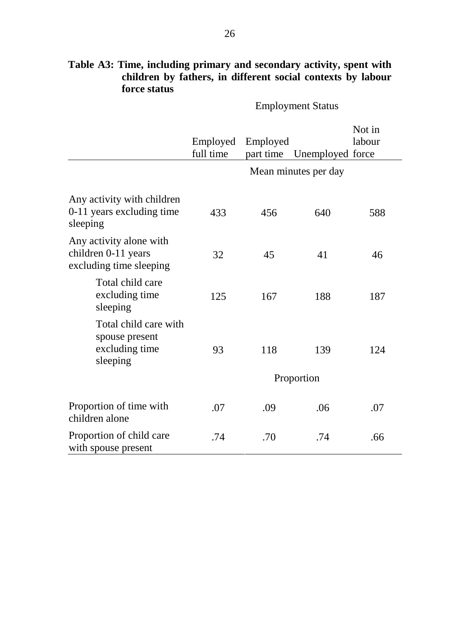|                                                                           | Employed<br>full time | Employed<br>part time | Unemployed force     | Not in<br>labour |
|---------------------------------------------------------------------------|-----------------------|-----------------------|----------------------|------------------|
|                                                                           |                       |                       | Mean minutes per day |                  |
| Any activity with children<br>0-11 years excluding time<br>sleeping       | 433                   | 456                   | 640                  | 588              |
| Any activity alone with<br>children 0-11 years<br>excluding time sleeping | 32                    | 45                    | 41                   |                  |
| Total child care<br>excluding time<br>sleeping                            | 125                   | 167                   | 188                  | 187              |
| Total child care with<br>spouse present<br>excluding time<br>sleeping     | 93                    | 118                   | 139                  | 124              |
|                                                                           |                       |                       | Proportion           |                  |
| Proportion of time with<br>children alone                                 | .07                   | .09                   | .06                  | .07              |
| Proportion of child care<br>with spouse present                           | .74                   | .70                   | .74                  | .66              |

## **Table A3: Time, including primary and secondary activity, spent with children by fathers, in different social contexts by labour force status**

Employment Status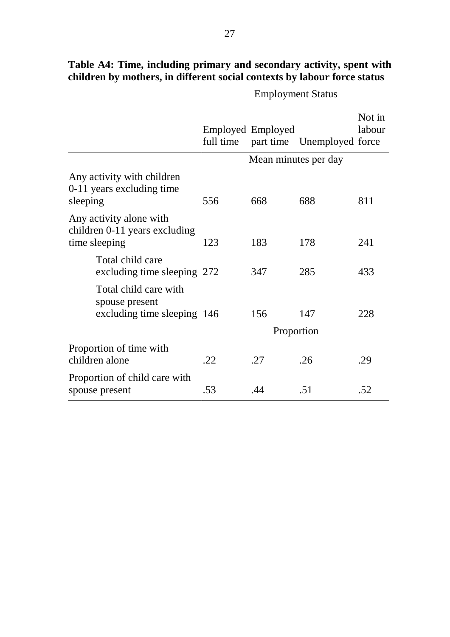|                                                                           |     | Employed Employed    | full time part time Unemployed force | Not in<br>labour |
|---------------------------------------------------------------------------|-----|----------------------|--------------------------------------|------------------|
|                                                                           |     | Mean minutes per day |                                      |                  |
| Any activity with children<br>0-11 years excluding time<br>sleeping       | 556 | 668                  | 688                                  | 811              |
| Any activity alone with<br>children 0-11 years excluding<br>time sleeping | 123 | 183                  | 178                                  | 241              |
| Total child care<br>excluding time sleeping 272                           |     | 347                  | 285                                  | 433              |
| Total child care with<br>spouse present<br>excluding time sleeping 146    |     | 156<br>Proportion    | 147                                  | 228              |
| Proportion of time with<br>children alone                                 | .22 | .27                  | .26                                  | .29              |
| Proportion of child care with<br>spouse present                           | .53 | .44                  | .51                                  | .52              |

# **Table A4: Time, including primary and secondary activity, spent with children by mothers, in different social contexts by labour force status**

Employment Status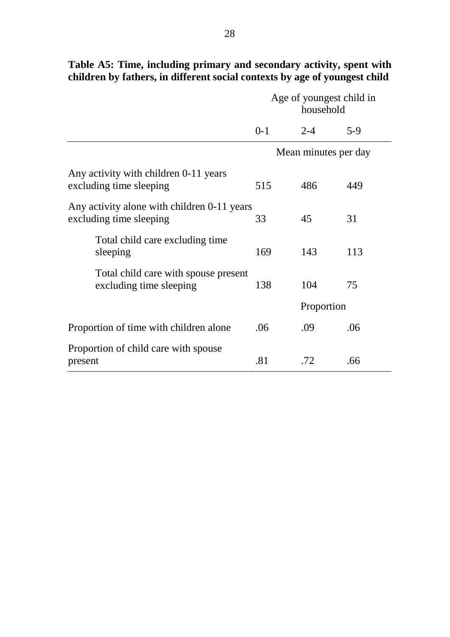|                                                                        | Age of youngest child in<br>household |                      |       |
|------------------------------------------------------------------------|---------------------------------------|----------------------|-------|
|                                                                        | $0 - 1$                               | $2 - 4$              | $5-9$ |
|                                                                        |                                       | Mean minutes per day |       |
| Any activity with children 0-11 years<br>excluding time sleeping       | 515                                   | 486                  | 449   |
| Any activity alone with children 0-11 years<br>excluding time sleeping | 33                                    | 45                   | 31    |
| Total child care excluding time<br>sleeping                            | 169                                   | 143                  | 113   |
| Total child care with spouse present<br>excluding time sleeping        | 138                                   | 104                  | 75    |
|                                                                        |                                       | Proportion           |       |
| Proportion of time with children alone                                 | .06                                   | .09                  | .06   |
| Proportion of child care with spouse<br>present                        | .81                                   | .72                  | .66   |

# **Table A5: Time, including primary and secondary activity, spent with children by fathers, in different social contexts by age of youngest child**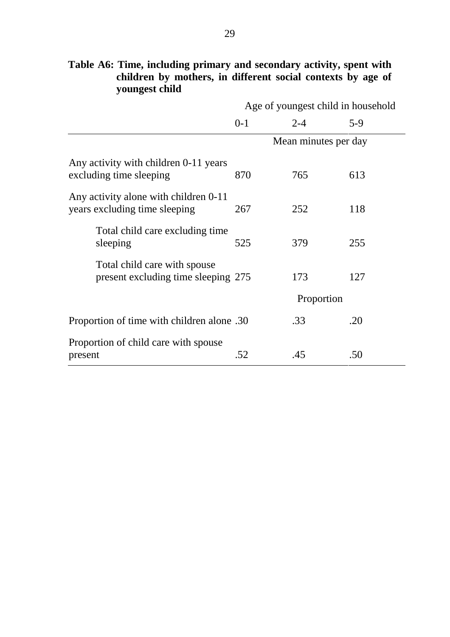|                                                                        |         | Age of youngest child in household |       |
|------------------------------------------------------------------------|---------|------------------------------------|-------|
|                                                                        | $0 - 1$ | $2 - 4$                            | $5-9$ |
|                                                                        |         | Mean minutes per day               |       |
| Any activity with children 0-11 years<br>excluding time sleeping       | 870     | 765                                | 613   |
| Any activity alone with children 0-11<br>years excluding time sleeping | 267     | 252                                | 118   |
| Total child care excluding time<br>sleeping                            | 525     | 379                                | 255   |
| Total child care with spouse<br>present excluding time sleeping 275    |         | 173                                | 127   |
|                                                                        |         | Proportion                         |       |
| 20. Proportion of time with children alone                             |         | .33                                | .20   |
| Proportion of child care with spouse<br>present                        | .52     | .45                                | .50   |

# **Table A6: Time, including primary and secondary activity, spent with children by mothers, in different social contexts by age of youngest child**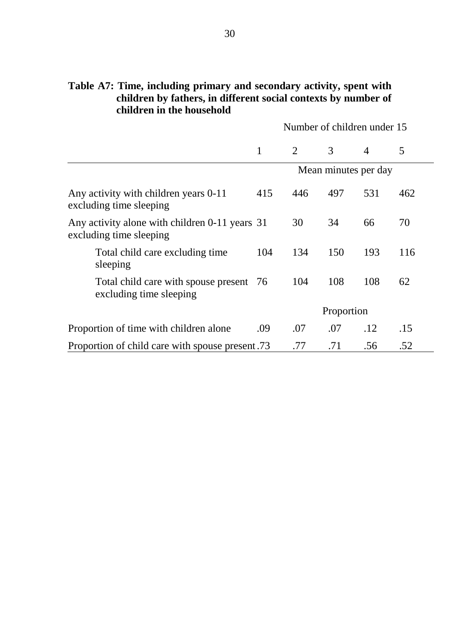### **Table A7: Time, including primary and secondary activity, spent with children by fathers, in different social contexts by number of children in the household**

Number of children under 15

|                                                                           |     | $\overline{2}$ | 3                    | $\overline{4}$ | 5   |
|---------------------------------------------------------------------------|-----|----------------|----------------------|----------------|-----|
|                                                                           |     |                | Mean minutes per day |                |     |
| Any activity with children years 0-11<br>excluding time sleeping          | 415 | 446            | 497                  | 531            | 462 |
| Any activity alone with children 0-11 years 31<br>excluding time sleeping |     | 30             | 34                   | 66             | 70  |
| Total child care excluding time<br>sleeping                               | 104 | 134            | 150                  | 193            | 116 |
| Total child care with spouse present 76<br>excluding time sleeping        |     | 104            | 108                  | 108            | 62  |
|                                                                           |     |                | Proportion           |                |     |
| Proportion of time with children alone                                    | .09 | .07            | .07                  | .12            | .15 |
| Proportion of child care with spouse present.73                           |     | .77            | .71                  | .56            | .52 |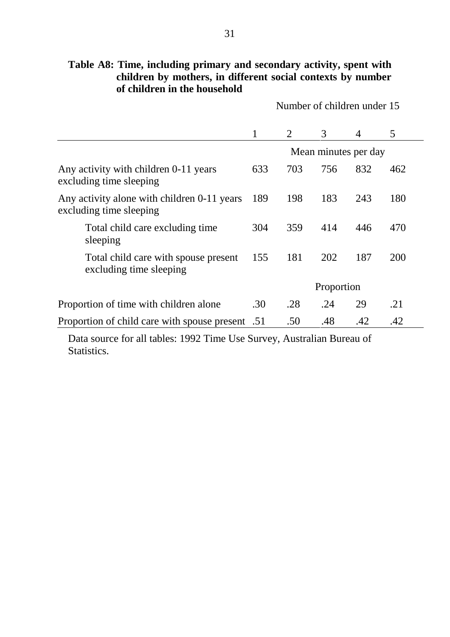| Table A8: Time, including primary and secondary activity, spent with |  |
|----------------------------------------------------------------------|--|
| children by mothers, in different social contexts by number          |  |
| of children in the household                                         |  |

Number of children under 15

|                                                                        | 1   | 2   | 3                    | $\overline{4}$ | 5   |
|------------------------------------------------------------------------|-----|-----|----------------------|----------------|-----|
|                                                                        |     |     | Mean minutes per day |                |     |
| Any activity with children 0-11 years<br>excluding time sleeping       | 633 | 703 | 756                  | 832            | 462 |
| Any activity alone with children 0-11 years<br>excluding time sleeping |     | 198 | 183                  | 243            | 180 |
| Total child care excluding time<br>sleeping                            | 304 | 359 | 414                  | 446            | 470 |
| Total child care with spouse present<br>excluding time sleeping        | 155 | 181 | 202                  | 187            | 200 |
|                                                                        |     |     | Proportion           |                |     |
| Proportion of time with children alone                                 | .30 | .28 | .24                  | 29             | .21 |
| Proportion of child care with spouse present .51                       |     | .50 | .48                  | .42            | .42 |

Data source for all tables: 1992 Time Use Survey, Australian Bureau of Statistics.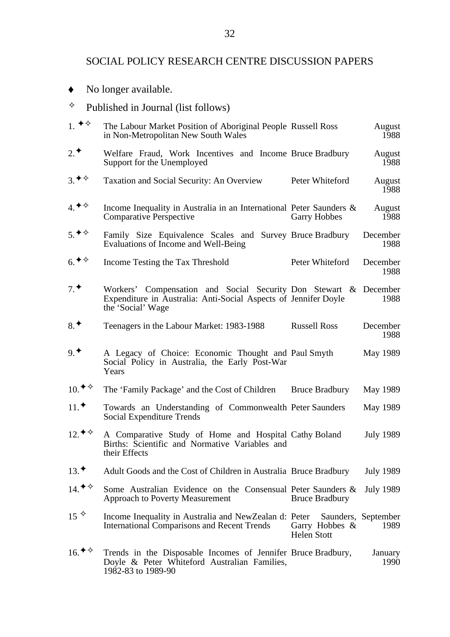#### SOCIAL POLICY RESEARCH CENTRE DISCUSSION PAPERS

- No longer available.
- $\diamond$  Published in Journal (list follows)

| $1.$ $\blacklozenge \diamond$                     | The Labour Market Position of Aboriginal People Russell Ross<br>in Non-Metropolitan New South Wales                                                      |                                         | August<br>1988              |
|---------------------------------------------------|----------------------------------------------------------------------------------------------------------------------------------------------------------|-----------------------------------------|-----------------------------|
| $2^*$                                             | Welfare Fraud, Work Incentives and Income Bruce Bradbury<br>Support for the Unemployed                                                                   |                                         | August<br>1988              |
| 3.48                                              | <b>Taxation and Social Security: An Overview</b>                                                                                                         | Peter Whiteford                         | August<br>1988              |
| $4.$ * $\diamond$                                 | Income Inequality in Australia in an International Peter Saunders $\&$<br><b>Comparative Perspective</b>                                                 | <b>Garry Hobbes</b>                     | August<br>1988              |
| $5.$ * $\diamond$                                 | Family Size Equivalence Scales and Survey Bruce Bradbury<br>Evaluations of Income and Well-Being                                                         |                                         | December<br>1988            |
| $6.$ * $\diamond$                                 | Income Testing the Tax Threshold                                                                                                                         | Peter Whiteford                         | December<br>1988            |
| 7 <sup>4</sup>                                    | Workers' Compensation and Social Security Don Stewart & December<br>Expenditure in Australia: Anti-Social Aspects of Jennifer Doyle<br>the 'Social' Wage |                                         | 1988                        |
| $8^*$                                             | Teenagers in the Labour Market: 1983-1988                                                                                                                | <b>Russell Ross</b>                     | December<br>1988            |
| 9 <sup>4</sup>                                    | A Legacy of Choice: Economic Thought and Paul Smyth<br>Social Policy in Australia, the Early Post-War<br>Years                                           |                                         | May 1989                    |
| $10.$ <sup><math>\diamond</math></sup> $\diamond$ | The 'Family Package' and the Cost of Children                                                                                                            | <b>Bruce Bradbury</b>                   | May 1989                    |
| $11.$ *                                           | Towards an Understanding of Commonwealth Peter Saunders<br><b>Social Expenditure Trends</b>                                                              |                                         | May 1989                    |
| $12 \cdot \bullet \diamond$                       | A Comparative Study of Home and Hospital Cathy Boland<br>Births: Scientific and Normative Variables and<br>their Effects                                 |                                         | <b>July 1989</b>            |
| $13.$ *                                           | Adult Goods and the Cost of Children in Australia Bruce Bradbury                                                                                         |                                         | <b>July 1989</b>            |
| $14.$ <sup>→◇</sup>                               | Some Australian Evidence on the Consensual Peter Saunders &<br><b>Approach to Poverty Measurement</b>                                                    | <b>Bruce Bradbury</b>                   | <b>July 1989</b>            |
| $15^{\diamond}$                                   | Income Inequality in Australia and NewZealan d: Peter<br><b>International Comparisons and Recent Trends</b>                                              | Garry Hobbes $\&$<br><b>Helen Stott</b> | Saunders, September<br>1989 |
| $16.$ * $\diamond$                                | Trends in the Disposable Incomes of Jennifer Bruce Bradbury,<br>Doyle & Peter Whiteford Australian Families,<br>1982-83 to 1989-90                       |                                         | January<br>1990             |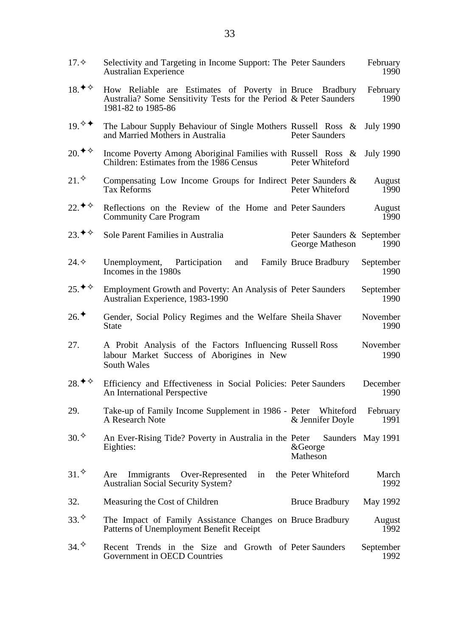| $17. \diamond$                           | Selectivity and Targeting in Income Support: The Peter Saunders<br><b>Australian Experience</b>                                                    |                                               | February<br>1990  |
|------------------------------------------|----------------------------------------------------------------------------------------------------------------------------------------------------|-----------------------------------------------|-------------------|
| 18. ♦ ♦                                  | How Reliable are Estimates of Poverty in Bruce Bradbury<br>Australia? Some Sensitivity Tests for the Period & Peter Saunders<br>1981-82 to 1985-86 |                                               | February<br>1990  |
| $19.$ ♦                                  | The Labour Supply Behaviour of Single Mothers Russell Ross &<br>and Married Mothers in Australia                                                   | Peter Saunders                                | <b>July 1990</b>  |
| $20.$ * $\diamond$                       | Income Poverty Among Aboriginal Families with Russell Ross &<br>Children: Estimates from the 1986 Census                                           | Peter Whiteford                               | <b>July 1990</b>  |
| 21.                                      | Compensating Low Income Groups for Indirect Peter Saunders &<br><b>Tax Reforms</b>                                                                 | Peter Whiteford                               | August<br>1990    |
| 22. ♦ ♦                                  | Reflections on the Review of the Home and Peter Saunders<br><b>Community Care Program</b>                                                          |                                               | August<br>1990    |
| $23.$ <sup>→ <math>\diamond</math></sup> | Sole Parent Families in Australia                                                                                                                  | Peter Saunders & September<br>George Matheson | 1990              |
| 24.                                      | Unemployment, Participation<br>and<br>Incomes in the 1980s                                                                                         | <b>Family Bruce Bradbury</b>                  | September<br>1990 |
| $25.$ * $\diamond$                       | Employment Growth and Poverty: An Analysis of Peter Saunders<br>Australian Experience, 1983-1990                                                   |                                               | September<br>1990 |
| $26.$ *                                  | Gender, Social Policy Regimes and the Welfare Sheila Shaver<br><b>State</b>                                                                        |                                               | November<br>1990  |
| 27.                                      | A Probit Analysis of the Factors Influencing Russell Ross<br>labour Market Success of Aborigines in New<br>South Wales                             |                                               | November<br>1990  |
| 28. $\blacklozenge \diamond$             | Efficiency and Effectiveness in Social Policies: Peter Saunders<br>An International Perspective                                                    |                                               | December<br>1990  |
| 29.                                      | Take-up of Family Income Supplement in 1986 - Peter Whiteford<br>A Research Note                                                                   | & Jennifer Doyle                              | February<br>1991  |
| 30.                                      | An Ever-Rising Tide? Poverty in Australia in the Peter<br>Eighties:                                                                                | &George<br>Matheson                           | Saunders May 1991 |
| 31.                                      | Immigrants Over-Represented<br>in<br>Are<br><b>Australian Social Security System?</b>                                                              | the Peter Whiteford                           | March<br>1992     |
| 32.                                      | Measuring the Cost of Children                                                                                                                     | <b>Bruce Bradbury</b>                         | May 1992          |
| 33.                                      | The Impact of Family Assistance Changes on Bruce Bradbury<br>Patterns of Unemployment Benefit Receipt                                              |                                               | August<br>1992    |
| 34.                                      | Recent Trends in the Size and Growth of Peter Saunders<br>Government in OECD Countries                                                             |                                               | September<br>1992 |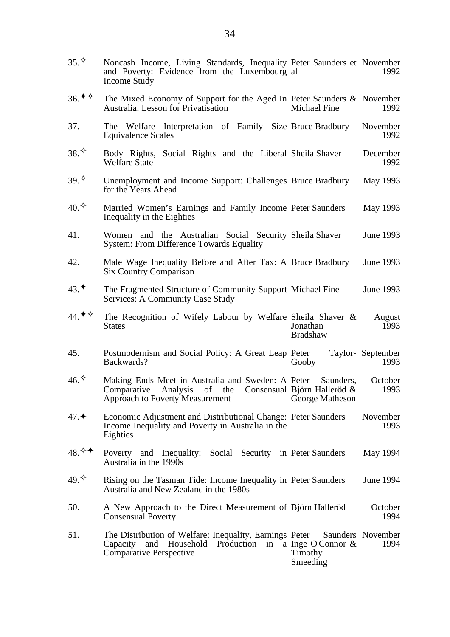35.  $\Diamond$  Noncash Income, Living Standards, Inequality Peter Saunders et November and Poverty: Evidence from the Luxembourg al Income Study 1992 36.  $\diamond$  The Mixed Economy of Support for the Aged In Peter Saunders & November Australia: Lesson for Privatisation Michael Fine 1992 37. The Welfare Interpretation of Family Size Bruce Bradbury November Equivalence Scales 1992 38.  $\Diamond$  Body Rights, Social Rights and the Liberal Sheila Shaver December Welfare State 1992 39. <sup>♦</sup> Unemployment and Income Support: Challenges Bruce Bradbury May 1993 for the Years Ahead  $40.\diamond$  Married Women's Earnings and Family Income Peter Saunders May 1993 Inequality in the Eighties 41. Women and the Australian Social Security Sheila Shaver June 1993 System: From Difference Towards Equality 42. Male Wage Inequality Before and After Tax: A Bruce Bradbury June 1993 Six Country Comparison 43.<sup>◆</sup> The Fragmented Structure of Community Support Michael Fine June 1993 Services: A Community Case Study 44.<sup> $\blacklozenge$ </sup> The Recognition of Wifely Labour by Welfare Sheila Shaver & **States** Jonathan Bradshaw August 1993 45. Postmodernism and Social Policy: A Great Leap Backwards? Peter Taylor-September Gooby 1993  $46.$ <sup> $\diamond$ </sup> Making Ends Meet in Australia and Sweden: A Peter Comparative Analysis of the Consensual Björn Halleröd & Approach to Poverty Measurement Saunders. George Matheson **October** 1993 47.✦ Economic Adjustment and Distributional Change: Peter Saunders November Income Inequality and Poverty in Australia in the Eighties 1993 48.  $\Diamond$  Poverty and Inequality: Social Security in Peter Saunders May 1994 Australia in the 1990s  $49.$ <sup> $\diamond$ </sup> Rising on the Tasman Tide: Income Inequality in Peter Saunders June 1994 Australia and New Zealand in the 1980s 50. A New Approach to the Direct Measurement of Björn Halleröd October Consensual Poverty 1994 51. The Distribution of Welfare: Inequality, Earnings Capacity and Household Production in a Inge O'Connor & Comparative Perspective Peter Saunders November Timothy Smeeding 1994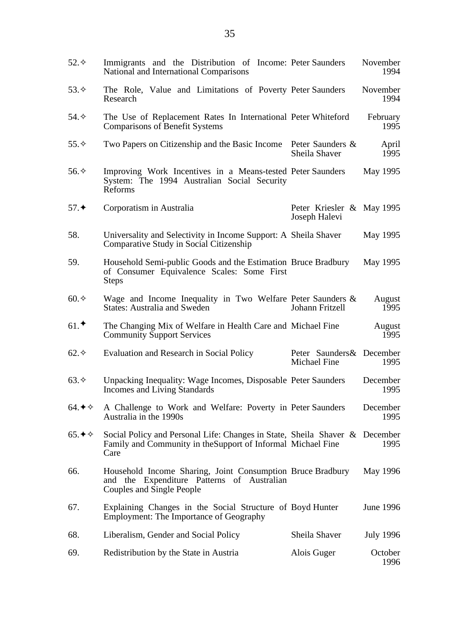| $52.\diamond$              | Immigrants and the Distribution of Income: Peter Saunders<br>National and International Comparisons                                                 |                                            | November<br>1994 |
|----------------------------|-----------------------------------------------------------------------------------------------------------------------------------------------------|--------------------------------------------|------------------|
| 53. $\diamond$             | The Role, Value and Limitations of Poverty Peter Saunders<br>Research                                                                               |                                            | November<br>1994 |
| 54. $\diamond$             | The Use of Replacement Rates In International Peter Whiteford<br><b>Comparisons of Benefit Systems</b>                                              |                                            | February<br>1995 |
| 55. $\diamond$             | Two Papers on Citizenship and the Basic Income                                                                                                      | Peter Saunders &<br>Sheila Shaver          | April<br>1995    |
| 56. $\diamond$             | Improving Work Incentives in a Means-tested Peter Saunders<br>System: The 1994 Australian Social Security<br>Reforms                                |                                            | May 1995         |
| 57.                        | Corporatism in Australia                                                                                                                            | Peter Kriesler & May 1995<br>Joseph Halevi |                  |
| 58.                        | Universality and Selectivity in Income Support: A Sheila Shaver<br>Comparative Study in Social Citizenship                                          |                                            | May 1995         |
| 59.                        | Household Semi-public Goods and the Estimation Bruce Bradbury<br>of Consumer Equivalence Scales: Some First<br><b>Steps</b>                         |                                            | May 1995         |
| $60.\diamondsuit$          | Wage and Income Inequality in Two Welfare Peter Saunders $\&$<br><b>States: Australia and Sweden</b>                                                | Johann Fritzell                            | August<br>1995   |
| $61.$ *                    | The Changing Mix of Welfare in Health Care and Michael Fine<br><b>Community Support Services</b>                                                    |                                            | August<br>1995   |
| $62.\diamond$              | Evaluation and Research in Social Policy                                                                                                            | Peter Saunders & December<br>Michael Fine  | 1995             |
| $63.\diamond$              | Unpacking Inequality: Wage Incomes, Disposable Peter Saunders<br>Incomes and Living Standards                                                       |                                            | December<br>1995 |
| 64. $\triangle$ $\diamond$ | A Challenge to Work and Welfare: Poverty in Peter Saunders<br>Australia in the 1990s                                                                |                                            | December<br>1995 |
| 65. $\triangleleft$ ↑      | Social Policy and Personal Life: Changes in State, Sheila Shaver & December<br>Family and Community in the Support of Informal Michael Fine<br>Care |                                            | 1995             |
| 66.                        | Household Income Sharing, Joint Consumption Bruce Bradbury<br>and the Expenditure Patterns of Australian<br>Couples and Single People               |                                            | May 1996         |
| 67.                        | Explaining Changes in the Social Structure of Boyd Hunter<br><b>Employment: The Importance of Geography</b>                                         |                                            | June 1996        |
| 68.                        | Liberalism, Gender and Social Policy                                                                                                                | Sheila Shaver                              | <b>July 1996</b> |
| 69.                        | Redistribution by the State in Austria                                                                                                              | Alois Guger                                | October<br>1996  |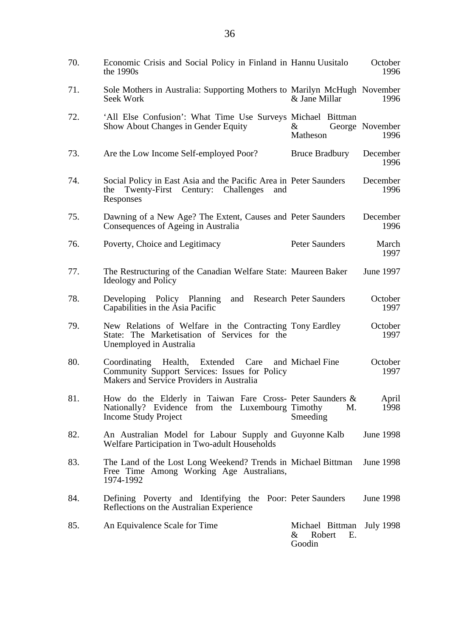| 70. | Economic Crisis and Social Policy in Finland in Hannu Uusitalo<br>the $1990s$                                                         |                                             | October<br>1996         |
|-----|---------------------------------------------------------------------------------------------------------------------------------------|---------------------------------------------|-------------------------|
| 71. | Sole Mothers in Australia: Supporting Mothers to Marilyn McHugh November<br>Seek Work                                                 | & Jane Millar                               | 1996                    |
| 72. | 'All Else Confusion': What Time Use Surveys Michael Bittman<br>Show About Changes in Gender Equity                                    | $\&$<br>Matheson                            | George November<br>1996 |
| 73. | Are the Low Income Self-employed Poor?                                                                                                | <b>Bruce Bradbury</b>                       | December<br>1996        |
| 74. | Social Policy in East Asia and the Pacific Area in Peter Saunders<br>Twenty-First Century: Challenges<br>the<br>and<br>Responses      |                                             | December<br>1996        |
| 75. | Dawning of a New Age? The Extent, Causes and Peter Saunders<br>Consequences of Ageing in Australia                                    |                                             | December<br>1996        |
| 76. | Poverty, Choice and Legitimacy                                                                                                        | <b>Peter Saunders</b>                       | March<br>1997           |
| 77. | The Restructuring of the Canadian Welfare State: Maureen Baker<br>Ideology and Policy                                                 |                                             | June 1997               |
| 78. | Developing Policy Planning<br>and<br>Capabilities in the Asia Pacific                                                                 | <b>Research Peter Saunders</b>              | October<br>1997         |
| 79. | New Relations of Welfare in the Contracting Tony Eardley<br>State: The Marketisation of Services for the<br>Unemployed in Australia   |                                             | October<br>1997         |
| 80. | Coordinating Health, Extended Care<br>Community Support Services: Issues for Policy<br>Makers and Service Providers in Australia      | and Michael Fine                            | October<br>1997         |
| 81. | How do the Elderly in Taiwan Fare Cross- Peter Saunders &<br>Nationally? Evidence from the Luxembourg Timothy<br>Income Study Project | M.<br>Smeeding                              | April<br>1998           |
| 82. | An Australian Model for Labour Supply and Guyonne Kalb<br>Welfare Participation in Two-adult Households                               |                                             | June 1998               |
| 83. | The Land of the Lost Long Weekend? Trends in Michael Bittman<br>Free Time Among Working Age Australians,<br>1974-1992                 |                                             | June 1998               |
| 84. | Defining Poverty and Identifying the Poor: Peter Saunders<br>Reflections on the Australian Experience                                 |                                             | June 1998               |
| 85. | An Equivalence Scale for Time                                                                                                         | Michael Bittman<br>& Robert<br>Е.<br>Goodin | <b>July 1998</b>        |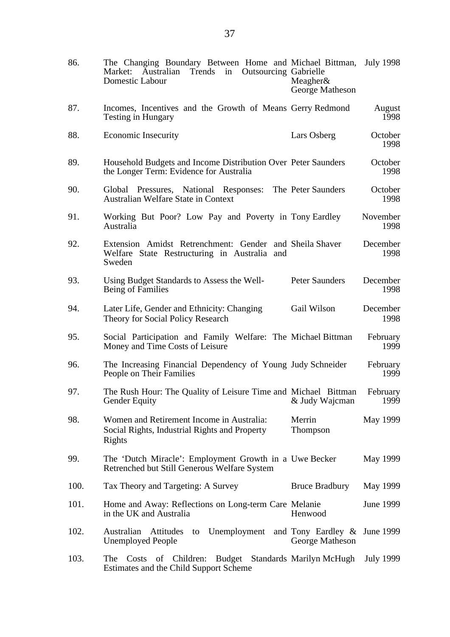| 86.  | The Changing Boundary Between Home and Michael Bittman,<br>Trends<br><b>Outsourcing Gabrielle</b><br>Market:<br>Australian<br>in<br>Domestic Labour | Meagher $\&$<br>George Matheson          | <b>July 1998</b> |
|------|-----------------------------------------------------------------------------------------------------------------------------------------------------|------------------------------------------|------------------|
| 87.  | Incomes, Incentives and the Growth of Means Gerry Redmond<br><b>Testing in Hungary</b>                                                              |                                          | August<br>1998   |
| 88.  | <b>Economic Insecurity</b>                                                                                                                          | Lars Osberg                              | October<br>1998  |
| 89.  | Household Budgets and Income Distribution Over Peter Saunders<br>the Longer Term: Evidence for Australia                                            |                                          | October<br>1998  |
| 90.  | Global Pressures, National Responses:<br><b>Australian Welfare State in Context</b>                                                                 | The Peter Saunders                       | October<br>1998  |
| 91.  | Working But Poor? Low Pay and Poverty in Tony Eardley<br>Australia                                                                                  |                                          | November<br>1998 |
| 92.  | Extension Amidst Retrenchment: Gender and Sheila Shaver<br>Welfare State Restructuring in Australia and<br>Sweden                                   |                                          | December<br>1998 |
| 93.  | Using Budget Standards to Assess the Well-<br>Being of Families                                                                                     | Peter Saunders                           | December<br>1998 |
| 94.  | Later Life, Gender and Ethnicity: Changing<br>Theory for Social Policy Research                                                                     | Gail Wilson                              | December<br>1998 |
| 95.  | Social Participation and Family Welfare: The Michael Bittman<br>Money and Time Costs of Leisure                                                     |                                          | February<br>1999 |
| 96.  | The Increasing Financial Dependency of Young Judy Schneider<br>People on Their Families                                                             |                                          | February<br>1999 |
| 97.  | The Rush Hour: The Quality of Leisure Time and Michael Bittman<br><b>Gender Equity</b>                                                              | & Judy Wajcman                           | February<br>1999 |
| 98.  | Women and Retirement Income in Australia:<br>Social Rights, Industrial Rights and Property<br>Rights                                                | Merrin<br>Thompson                       | May 1999         |
| 99.  | The 'Dutch Miracle': Employment Growth in a Uwe Becker<br>Retrenched but Still Generous Welfare System                                              |                                          | May 1999         |
| 100. | Tax Theory and Targeting: A Survey                                                                                                                  | <b>Bruce Bradbury</b>                    | May 1999         |
| 101. | Home and Away: Reflections on Long-term Care Melanie<br>in the UK and Australia                                                                     | Henwood                                  | June 1999        |
| 102. | Australian<br>Attitudes<br>Unemployment<br>to<br><b>Unemployed People</b>                                                                           | and Tony Eardley $\&$<br>George Matheson | <b>June 1999</b> |
| 103. | of Children: Budget Standards Marilyn McHugh<br>The<br>Costs<br>Estimates and the Child Support Scheme                                              |                                          | July 1999        |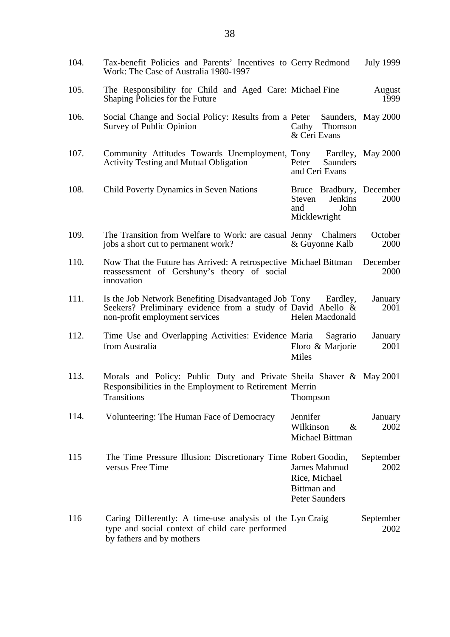| 104. | Tax-benefit Policies and Parents' Incentives to Gerry Redmond<br>Work: The Case of Australia 1980-1997                                                          |                                                                                     | July 1999          |
|------|-----------------------------------------------------------------------------------------------------------------------------------------------------------------|-------------------------------------------------------------------------------------|--------------------|
| 105. | The Responsibility for Child and Aged Care: Michael Fine<br>Shaping Policies for the Future                                                                     |                                                                                     | August<br>1999     |
| 106. | Social Change and Social Policy: Results from a Peter<br>Survey of Public Opinion                                                                               | Cathy Thomson<br>& Ceri Evans                                                       | Saunders, May 2000 |
| 107. | Community Attitudes Towards Unemployment, Tony<br><b>Activity Testing and Mutual Obligation</b>                                                                 | Eardley,<br>Peter<br>Saunders<br>and Ceri Evans                                     | <b>May 2000</b>    |
| 108. | <b>Child Poverty Dynamics in Seven Nations</b>                                                                                                                  | Bruce Bradbury, December<br><b>Jenkins</b><br>Steven<br>John<br>and<br>Micklewright | 2000               |
| 109. | The Transition from Welfare to Work: are casual Jenny Chalmers<br>jobs a short cut to permanent work?                                                           | & Guyonne Kalb                                                                      | October<br>2000    |
| 110. | Now That the Future has Arrived: A retrospective Michael Bittman<br>reassessment of Gershuny's theory of social<br>innovation                                   |                                                                                     | December<br>2000   |
| 111. | Is the Job Network Benefiting Disadvantaged Job Tony Eardley,<br>Seekers? Preliminary evidence from a study of David Abello &<br>non-profit employment services | Helen Macdonald                                                                     | January<br>2001    |
| 112. | Time Use and Overlapping Activities: Evidence Maria<br>from Australia                                                                                           | Sagrario<br>Floro & Marjorie<br>Miles                                               | January<br>2001    |
| 113. | Morals and Policy: Public Duty and Private Sheila Shaver & May 2001<br>Responsibilities in the Employment to Retirement Merrin<br>Transitions                   | Thompson                                                                            |                    |
| 114. | Volunteering: The Human Face of Democracy                                                                                                                       | Jennifer<br>Wilkinson<br>$\&$<br>Michael Bittman                                    | January<br>2002    |
| 115  | The Time Pressure Illusion: Discretionary Time Robert Goodin,<br>versus Free Time                                                                               | <b>James Mahmud</b><br>Rice, Michael<br>Bittman and<br><b>Peter Saunders</b>        | September<br>2002  |
| 116  | Caring Differently: A time-use analysis of the Lyn Craig<br>type and social context of child care performed<br>by fathers and by mothers                        |                                                                                     | September<br>2002  |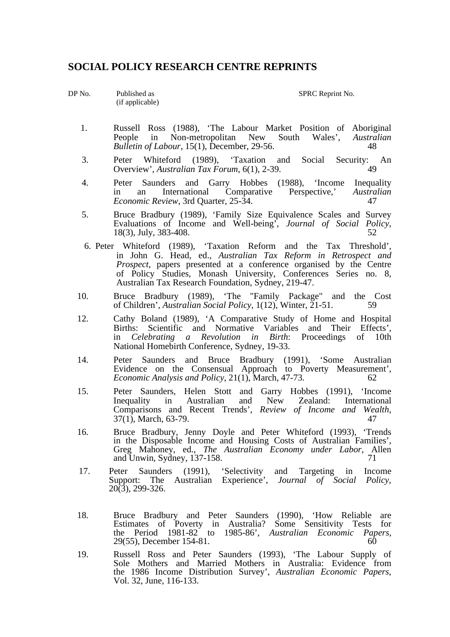#### **SOCIAL POLICY RESEARCH CENTRE REPRINTS**

(if applicable)

DP No. Published as SPRC Reprint No.

- 1. Russell Ross (1988), 'The Labour Market Position of Aboriginal People in Non-metropolitan New South Wales'. Australian People in New South Wales', *Austral*<br> *People in New South Wales'*, *Austral*<br> *Ag Bulletin of Labour*,  $15(1)$ , December, 29-56.
- 3. Peter Whiteford (1989), 'Taxation and Social Security: An Overview' Australian Tax Forum  $6(1)$  2-39 Overview', *Australian Tax Forum*, 6(1), 2-39.
- 4. Peter Saunders and Garry Hobbes (1988), 'Income Inequality<br>in an International Comparative Perspective.' Australian in an International Comparative Perspective,' *Australian Economic Review, 3rd Quarter, 25-34.* 47
- 5. Bruce Bradbury (1989), 'Family Size Equivalence Scales and Survey Evaluations of Income and Well-being', *Journal of Social Policy*, 18(3), July, 383-408. 52
	- 6. Peter Whiteford (1989), 'Taxation Reform and the Tax Threshold', in John G. Head, ed., *Australian Tax Reform in Retrospect and Prospect*, papers presented at a conference organised by the Centre of Policy Studies, Monash University, Conferences Series no. 8, Australian Tax Research Foundation, Sydney, 219-47.
	- 10. Bruce Bradbury (1989), 'The "Family Package" and the Cost of Children', *Australian Social Policy*, 1(12), Winter, 21-51.
	- 12. Cathy Boland (1989), 'A Comparative Study of Home and Hospital Births: Scientific and Normative Variables and Their Effects', in *Celebrating a Revolution in Birth*: Proceedings of 10th National Homebirth Conference, Sydney, 19-33.
- 14. Peter Saunders and Bruce Bradbury (1991), 'Some Australian Evidence on the Consensual Approach to Poverty Measurement', *Economic Analysis and Policy, 21(1)*, March, 47-73. 62
	- 15. Peter Saunders, Helen Stott and Garry Hobbes (1991), 'Income International Comparisons and Recent Trends', *Review of Income and Wealth*,  $37(1)$ , March, 63-79.
	- 16. Bruce Bradbury, Jenny Doyle and Peter Whiteford (1993), 'Trends<br>in the Disposable Income and Housing Costs of Australian Families', Greg Mahoney, ed., The Australian Economy under Labor, Allen and Unwin, Sydney, 137-158. 2014. 2015. 2016. 2016. 2016. 2016. 2016. 2017. 2016. 2017. 2017. 2017. 2017. 2017
	- 17. Peter Saunders (1991), 'Selectivity and Targeting in Income Support: The Australian Experience', *Journal of Social Policy*, 20(3), 299-326.
- 18. Bruce Bradbury and Peter Saunders (1990), 'How Reliable are Estimates of Poverty in Australia? Some Sensitivity Tests for the Period 1981-82 to 1985-86', *Australian Economic Papers*, 29(55), December 154-81. 60
	- 19. Russell Ross and Peter Saunders (1993), 'The Labour Supply of Sole Mothers and Married Mothers in Australia: Evidence from the 1986 Income Distribution Survey', *Australian Economic Papers*, Vol. 32, June, 116-133.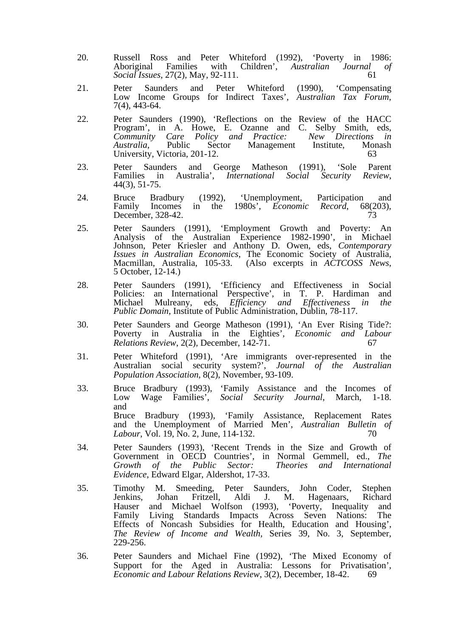- 20. Russell Ross and Peter Whiteford (1992), 'Poverty in 1986: Aboriginal Families with Children', *Australian Journal of Social Issues*, 27(2), May, 92-111. 61
- 21. Peter Saunders and Peter Whiteford (1990), 'Compensating Low Income Groups for Indirect Taxes', *Australian Tax Forum*, 7(4), 443-64.
- 22. Peter Saunders (1990), 'Reflections on the Review of the HACC Program', in A. Howe, E. Ozanne and C. Selby Smith, eds, *Community Care Policy and Practice: New Directions in*  Public Sector Management Institute, Mon<br>ctoria 201-12. 63 University, Victoria, 201-12.
	- 23. Peter Saunders and George Matheson (1991), 'Sole Parent Families in Australia', *International Social Security Review*, 44(3), 51-75.
	- 24. Bruce Bradbury (1992), 'Unemployment, Participation and Family Incomes in the 1980s', *Economic Record*, 68(203), December 328-42 December, 328-42.
- 25. Peter Saunders (1991), 'Employment Growth and Poverty: An Analysis of the Australian Experience 1982-1990', in Michael Johnson, Peter Kriesler and Anthony D. Owen, eds, *Contemporary Issues in Australian Economics*, The Economic Society of Australia, Macmillan, Australia, 105-33. (Also excerpts in *ACTCOSS News*, 5 October, 12-14.)
	- 28. Peter Saunders (1991), 'Efficiency and Effectiveness in Social Policies: an International Perspective', in T. P. Hardiman and Michael Mulreany, eds, *Efficiency and Effectiveness in the Public Domain*, Institute of Public Administration, Dublin, 78-117.
	- 30. Peter Saunders and George Matheson (1991), 'An Ever Rising Tide?: Poverty in Australia in the Eighties', *Economic and Labour Relations Review*, 2(2), December, 142-71.
	- 31. Peter Whiteford (1991), 'Are immigrants over-represented in the Australian social security system?', *Journal of the Australian Population Association*, 8(2), November, 93-109.
- 33. Bruce Bradbury (1993), 'Family Assistance and the Incomes of Low Wage Families', *Social Security Journal*, March, 1-18. and Bruce Bradbury (1993), 'Family Assistance, Replacement Rates and the Unemployment of Married Men', *Australian Bulletin of Labour*, Vol. 19, No. 2, June, 114-132. 70
- 34. Peter Saunders (1993), 'Recent Trends in the Size and Growth of Government in OECD Countries', in Normal Gemmell, ed., *The Growth of the Public Sector: Theories and International Evidence*, Edward Elgar, Aldershot, 17-33.
- 35. Timothy M. Smeeding, Peter Saunders, John Coder, Stephen Jenkins, Johan Fritzell, Aldi J. M. Hagenaars, Richard Hauser and Michael Wolfson (1993), 'Poverty, Inequality and Family Living Standards Impacts Across Seven Nations: The Effects of Noncash Subsidies for Health, Education and Housing', *The Review of Income and Wealth*, Series 39, No. 3, September, 229-256.
	- 36. Peter Saunders and Michael Fine (1992), 'The Mixed Economy of Support for the Aged in Australia: Lessons for Privatisation', *Economic and Labour Relations Review*, 3(2), December, 18-42. 69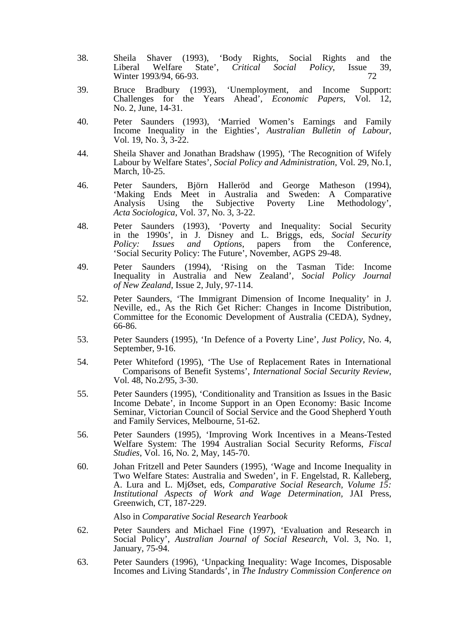- 38. Sheila Shaver (1993), 'Body Rights, Social Rights and the Liberal Welfare State', *Critical Social Policy*, Issue 39, Winter 1993/94, 66-93. 72
	- 39. Bruce Bradbury (1993), 'Unemployment, and Income Support: Challenges for the Years Ahead', *Economic Papers*, Vol. 12, No. 2, June, 14-31.
	- 40. Peter Saunders (1993), 'Married Women's Earnings and Family Income Inequality in the Eighties', *Australian Bulletin of Labour*, Vol. 19, No. 3, 3-22.
	- 44. Sheila Shaver and Jonathan Bradshaw (1995), 'The Recognition of Wifely Labour by Welfare States', *Social Policy and Administration*, Vol. 29, No.1, March, 10-25.
	- 46. Peter Saunders, Björn Halleröd and George Matheson (1994),<br>
	'Making Ends Meet in Australia and Sweden: A Comparative<br>
	Analysis Using the Subjective Poverty Line Methodology', Analysis Using the Subjective Poverty Line Methodology', *Acta Sociologica*, Vol. 37, No. 3, 3-22.
	- 48. Peter Saunders (1993), 'Poverty and Inequality: Social Security in the 1990s', in J. Disney and L. Briggs, eds, *Social Security Policy: Issues and Options*, papers from the Conference, 'Social Security Policy: The Future', November, AGPS 29-48.
- 49. Peter Saunders (1994), 'Rising on the Tasman Tide: Income Inequality in Australia and New Zealand', *Social Policy Journal of New Zealand*, Issue 2, July, 97-114.
	- 52. Peter Saunders, 'The Immigrant Dimension of Income Inequality' in J. Neville, ed., As the Rich Get Richer: Changes in Income Distribution, Committee for the Economic Development of Australia (CEDA), Sydney, 66-86.
	- 53. Peter Saunders (1995), 'In Defence of a Poverty Line', *Just Policy*, No. 4, September, 9-16.
	- 54. Peter Whiteford (1995), 'The Use of Replacement Rates in International Comparisons of Benefit Systems', *International Social Security Review*, Vol. 48, No.2/95, 3-30.
	- 55. Peter Saunders (1995), 'Conditionality and Transition as Issues in the Basic Income Debate', in Income Support in an Open Economy: Basic Income Seminar, Victorian Council of Social Service and the Good Shepherd Youth and Family Services, Melbourne, 51-62.
	- 56. Peter Saunders (1995), 'Improving Work Incentives in a Means-Tested Welfare System: The 1994 Australian Social Security Reforms, *Fiscal Studies*, Vol. 16, No. 2, May, 145-70.
	- 60. Johan Fritzell and Peter Saunders (1995), 'Wage and Income Inequality in Two Welfare States: Australia and Sweden', in F. Engelstad, R. Kalleberg, A. Lura and L. MjØset, eds, *Comparative Social Research, Volume 15: Institutional Aspects of Work and Wage Determination,* JAI Press, Greenwich, CT, 187-229.

Also in *Comparative Social Research Yearbook* 

- 62. Peter Saunders and Michael Fine (1997), 'Evaluation and Research in Social Policy', *Australian Journal of Social Research*, Vol. 3, No. 1, January, 75-94.
- 63. Peter Saunders (1996), 'Unpacking Inequality: Wage Incomes, Disposable Incomes and Living Standards', in *The Industry Commission Conference on*